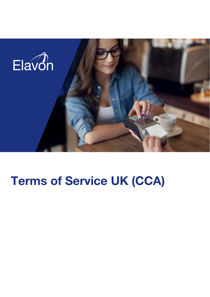

# Terms of Service UK (CCA)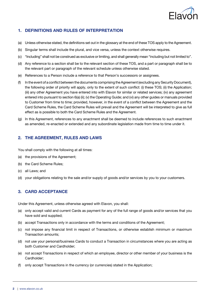

## 1. DEFINITIONS AND RULES OF INTERPRETATION

- (a) Unless otherwise stated, the definitions set out inthe glossary at the end of these TOS apply to the Agreement.
- (b) Singular terms shall include the plural, and vice versa, unless the context otherwise requires.
- (c) "Including" shall not be construed as exclusive or limiting, and shall generally mean "including but not limited to".
- (d) Any reference to a section shall be to the relevant section of these TOS, and a part or paragraph shall be to the relevant part or paragraph of the relevant schedule unless otherwise stated.
- (e) References to a Person include a reference to that Person's successors or assignees.
- (f) Inthe event of a conflict betweenthe documents comprising theAgreement(excluding anySecurity Document), the following order of priority will apply, only to the extent of such conflict: (i) these TOS; (ii) the Application; (iii) any other Agreement you have entered into with Elavon for similar or related services; (iv) any agreement entered into pursuant to section 6(a) (ii); (v) the Operating Guide; and (vi) any other guides or manuals provided to Customer from time to time; provided, however, in the event of a conflict between the Agreement and the Card Scheme Rules, the Card Scheme Rules will prevail and the Agreement will be interpreted to give as full effect as is possible to both the Card Scheme Rules and the Agreement.
- (g) In this Agreement, references to any enactment shall be deemed to include references to such enactment as amended, re-enacted or extended and any subordinate legislation made from time to time under it.

#### 2. THE AGREEMENT, RULES AND LAWS

You shall comply with the following at all times:

- (a) the provisions of the Agreement;
- (b) the Card Scheme Rules;
- (c) all Laws; and
- (d) your obligations relating to the sale and/or supply of goods and/or services by you to your customers.

## 3. CARD ACCEPTANCE

Under this Agreement, unless otherwise agreed with Elavon, you shall:

- (a) only accept valid and current Cards as payment for any of the full range of goods and/or services that you have sold and supplied;
- (b) accept Transactions only in accordance with the terms and conditions of the Agreement;
- (c) not impose any financial limit in respect of Transactions, or otherwise establish minimum or maximum Transaction amounts;
- (d) not use your personal/business Cards to conduct a Transaction in circumstances where you are acting as both Customer and Cardholder;
- (e) not accept Transactions in respect of which an employee, director or other member of your business is the Cardholder;
- (f) only accept Transactions in the currency (or currencies) stated in the Application;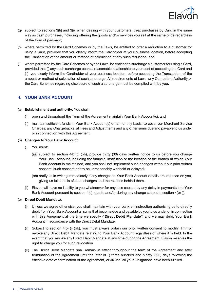

- (g) subject to sections 3(h) and 3(i), when dealing with your customers, treat purchases by Card in the same way as cash purchases, including offering the goods and/or services you sell at the same price regardless of the form of payment;
- (h) where permitted by the Card Schemes or by the Laws, be entitled to offer a reduction to a customer for using a Card, provided that you clearly inform the Cardholder at your business location, before accepting the Transaction of the amount or method of calculation of any such reduction; and
- (i) where permitted by the Card Schemes or by the Laws, be entitled to surcharge a customer for using a Card, provided that (i) any such surcharge bears a reasonable relationship to your cost of accepting the Card and (ii) you clearly inform the Cardholder at your business location, before accepting the Transaction, of the amount or method of calculation of such surcharge. All requirements of Laws, any Competent Authority or the Card Schemes regarding disclosure of such a surcharge must be complied with by you.

## 4. YOUR BANK ACCOUNT

#### (a) Establishment and authority. You shall:

- (i) open and throughout the Term of the Agreement maintain Your Bank Account(s); and
- (ii) maintain sufficient funds in Your Bank Account(s) on a monthly basis, to cover our Merchant Service Charges, any Chargebacks, all Fees and Adjustments and any other sums due and payable to us under or in connection with this Agreement.

#### (b) Changes to Your Bank Account.

- (i) You must:
	- (aa) subject to section 4(b) (i) (bb), provide thirty (30) days written notice to us before you change Your Bank Account, including the financial institution or the location of the branch at which Your Bank Account is maintained, and you shall not implement such changes without our prior written consent (such consent not to be unreasonably withheld or delayed);
	- (bb) notify us in writing immediately if any changes to Your Bank Account details are imposed on you, giving us full details of such changes and the reasons behind them.
- (ii) Elavon will have no liability to you whatsoever for any loss caused by any delay in payments into Your Bank Account pursuant to section 4(d), due to and/or during any change set out in section 4(b) (i).

#### (c) Direct Debit Mandate.

- (i) Unless we agree otherwise, you shall maintain with your bank an instruction authorising us to directly debit from Your Bank Account all sums that become due and payable by you to us under or in connection with this Agreement at the time we specify ("Direct Debit Mandate") and we may debit Your Bank Account in accordance with the Direct Debit Mandate.
- (ii) Subject to section 4(b) (i) (bb), you must always obtain our prior written consent to modify, limit or revoke any Direct Debit Mandate relating to Your Bank Account regardless of where it is held. In the event that you revoke any Direct Debit Mandate at any time during the Agreement, Elavon reserves the right to charge you for such revocation
- (iii) The Direct Debit Mandate shall remain in effect throughout the term of the Agreement and after termination of the Agreement until the later of (i) three hundred and ninety (390) days following the effective date of termination of the Agreement, or (ii) until all your Obligations have been fulfilled.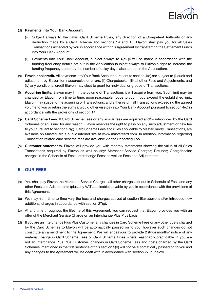

#### (d) Payments into Your Bank Account

- (i) Subject always to the Laws, Card Scheme Rules, any direction of a Competent Authority or any deduction made by a Card Scheme and sections 14 and 15, Elavon shall pay you for all Sales Transactions accepted by you in accordance with this Agreement by transferring the Settlement Funds into Your Bank Account.
- (ii) Payments into Your Bank Account, subject always to 4(d) (i) will be made in accordance with the funding frequency details set out in the Application (subject always to Elavon's right to increase the funding frequency period by the number of delay days, also set out in the Application).
- (e) Provisional credit. All payments into Your Bank Account pursuant to section 4(d) are subject to (i) audit and adjustment by Elavon for inaccuracies or errors, (ii) Chargebacks, (iii) all other Fees and Adjustments; and (iv) any conditional credit Elavon may elect to grant for individual or groups of Transactions.
- (f) **Acquiring limits.** Elavon may limit the volume of Transactions it will acquire from you. Such limit may be changed by Elavon from time to time, upon reasonable notice to you. If you exceed the established limit, Elavon may suspend the acquiring of Transactions, and either return all Transactions exceeding the agreed volume to you or retain the sums it would otherwise pay into Your Bank Account pursuant to section 4(d) in accordance with the provisions of section 14.
- (g) Card Scheme Fees. If Card Scheme Fees or any similar fees are adjusted and/or introduced by the Card Schemes or an Issuer for any reason, Elavon reserves the right to pass on any such adjustment or new fee to you pursuant to section 27(g). Card Scheme Fees and rules applicable to MasterCard® Transactions, are available on MasterCard's public internet site at www.mastercard.com. In addition, information regarding Transaction related card scheme fees are available via the Reporting Tool.
- (h) Customer statements. Elavon will provide you with monthly statements showing the value of all Sales Transactions acquired by Elavon as well as any: Merchant Service Charges; Refunds; Chargebacks; charges in the Schedule of Fees; Interchange Fees; as well as Fees and Adjustments.

#### 5. OUR FEES

- (a) You shall pay Elavon the Merchant Service Charges, all other charges set out in Schedule of Fees and any other Fees and Adjustments (plus any VAT applicable) payable by you in accordance with the provisions of this Agreement.
- (b) We may from time to time vary the fees and charges set out at section 5(a) above and/or introduce new additional charges in accordance with section 27(g).
- (c) At any time throughout the lifetime of this Agreement, you can request that Elavon provides you with an offer of the Merchant Service Charge on an Interchange Plus Plus basis.
- (d) If you are an Interchange Plus Plus Customer any changes in Card Scheme Fees or any other costs charged by the Card Schemes to Elavon will be automatically passed on to you, however such changes do not constitute an amendment to the Agreement. We will endeavour to provide 2 (two) months' notice of any material change in Card Scheme Fees or Card Scheme Fines where reasonably practicable. If you are not an Interchange Plus Plus Customer, changes in Card Scheme Fees and costs charged by the Card Schemes, mentioned in the first sentence of this section 5(d) will not be automatically passed on to you and any changes to the Agreement will be dealt with in accordance with section 27 (g) below.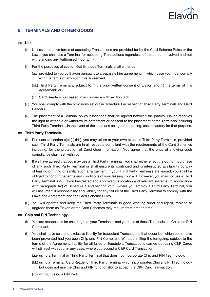

## 6. TERMINALS AND OTHER GOODS

#### (a) Use.

- (i) Unless alternative forms of accepting Transactions are provided for by the Card Scheme Rules or the Laws, you shall use a Terminal for accepting Transactions regardless of the amount involved and not withstanding any Authorised Floor Limit.
- (ii) For the purposes of section  $6(a)$  (i), those Terminals shall either be:
	- (aa) provided to you by Elavon pursuant to a separate hire agreement, in which case you must comply with the terms of any such hire agreement;
	- (bb) Third Party Terminals, subject to (i) the prior written consent of Elavon and (ii) the terms of this Agreement; or
	- (cc) Card Readers purchased in accordance with section 6(d).
- (iii) You shall comply with the provisions set out in Schedule 1 in respect of Third Party Terminals and Card Readers.
- (iv) The placement of a Terminal on your locations shall be agreed between the parties. Elavon reserves the right to withhold or withdraw its agreement or consent to the placement of the Terminals including Third Party Terminals, in the event of the locations being, or becoming, unsatisfactory for that purpose.

#### (b) Third Party Terminals.

- (i) Pursuant to section 6(a) (ii) (bb), you may utilise at your own expense Third Party Terminals, provided such Third Party Terminals are in all respects compliant with the requirements of the Card Schemes including, for the protection of Cardholder information. You agree that the onus of showing such compliance shall rest with you.
- (ii) If we have agreed that you may use a Third Party Terminal, you shall either effect the outright purchase of any such Third Party Terminal or shall ensure its continued and uninterrupted availability by way of leasing or hiring or similar such arrangement. If your Third Party Terminals are leased, you shall be obliged to honour the terms and conditions of your leasing contract. However, you may not use a Third Party Terminal until Elavon has tested and approved its location and relevant systems. In accordance with paragraph 1(c) of Schedule 1 and section 21(h), where you employ a Third Party Terminal, you will assume full responsibility and liability for any failure of the Third Party Terminal to comply with the Laws, the Agreement and the Card Scheme Rules.
- (iii) You will operate and keep the Third Party Terminals in good working order and repair, replace or upgrade them as Elavon or the Card Schemes may require from time to time.

#### (c) Chip and PIN Technology.

- (i) You are responsible for ensuring that your Terminals, and your use of those Terminals are Chip and PIN Compliant.
- (ii) You shall have sole and exclusive liability for fraudulent Transactions that occur but which could have been prevented had you been Chip and PIN Compliant. Without limiting the foregoing, subject to the terms of the Agreement, liability for all failed or fraudulent Transactions carried out using C&P Cards will still rest with you, in any case, where you accept a C&P Card Transaction:
	- (aa) using a Terminal or Third Party Terminal that does not incorporate Chip and PIN Technology;
	- (bb) using a Terminal, Card Reader or Third Party Terminal which incorporates Chip and PIN Technology but does not use the Chip and PIN functionality to accept the C&P Card Transaction;
	- (cc) without using a PIN Pad.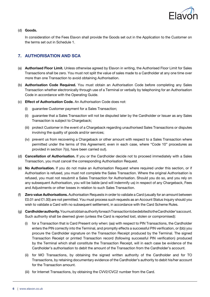

#### (d) Goods.

In consideration of the Fees Elavon shall provide the Goods set out in the Application to the Customer on the terms set out in Schedule 1.

## 7. AUTHORISATION AND SCA

- (a) Authorised Floor Limit. Unless otherwise agreed by Elavon in writing, the Authorised Floor Limit for Sales Transactions shall be zero. You must not split the value of sales made to a Cardholder at any one time over more than one Transaction to avoid obtaining Authorisation.
- (b) Authorisation Code Required. You must obtain an Authorisation Code before completing any Sales Transaction whether electronically through use of a Terminal or verbally by telephoning for an Authorisation Code in accordance with the Operating Guide.
- (c) Effect of Authorisation Code. An Authorisation Code does not:
	- (i) guarantee Customer payment for a Sales Transaction;
	- (ii) guarantee that a Sales Transaction will not be disputed later by the Cardholder or Issuer as any Sales Transaction is subject to Chargeback;
	- (iii) protect Customer in the event of a Chargeback regarding unauthorised Sales Transactions or disputes involving the quality of goods and/or services;
	- (iv) prevent us from recovering a Chargeback or other amount with respect to a Sales Transaction where permitted under the terms of this Agreement; even in each case, where "Code 10" procedures as provided in section 7(o), have been carried out).
- (d) Cancellation of Authorisation. If you or the Cardholder decide not to proceed immediately with a Sales Transaction, you must cancel the corresponding Authorisation Request.
- (e) No Authorisation. If you do not make an Authorisation Request where required under this section, or if Authorisation is refused, you must not complete the Sales Transaction. Where the original Authorisation is refused, you must not resubmit a Sales Transaction for Authorisation. Should you do so, and you rely on any subsequent Authorisation, you will be liable (and will indemnify us) in respect of any Chargeback, Fees and Adjustments or other losses in relation to such Sales Transaction.
- (f) Zero value Authorisations. Authorisation Requests in order to validate a Card (usually for an amount between £0.01 and £1.00) are not permitted. You must process such requests as an Account Status Inquiry should you wish to validate a Card with no subsequent settlement, in accordance with the Card Scheme Rules.
- (g) Cardholder authority.YoumustobtainauthorityforeachTransactiontobedebitedtotheCardholder'saccount. Such authority shall be deemed given (unless the Card is reported lost, stolen or compromised):
	- (i) for a Transaction that is Card Present only when: (aa) with respect to PIN Transactions, the Cardholder enters the PIN correctly into the Terminal, and promptly effects a successful PIN verification, or (bb) you procure the Cardholder signature on the Transaction Receipt produced by the Terminal. The signed Transaction Receipt or printed Transaction record (following successful PIN verification) produced by the Terminal which shall constitute the Transaction Receipt, will in each case be evidence of the Cardholder's authorisation to debit the amount of the Transaction from the Cardholder's account.
	- (ii) for MO Transactions, by obtaining the signed written authority of the Cardholder and for TO Transactions, by retaining documentary evidence of the Cardholder's authority to debit his/her account for the Transaction amount.
	- (iii) for Internet Transactions, by obtaining the CVV2/CVC2 number from the Card.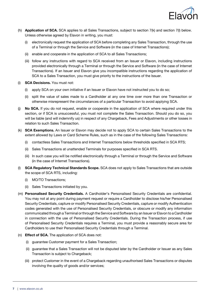

- (h) Application of SCA. SCA applies to all Sales Transactions, subject to section 7(k) and section 7(l) below. Unless otherwise agreed by Elavon in writing, you must:
	- (i) electronically request the application of SCA before completing any Sales Transaction, through the use of a Terminal or through the Service and Software (in the case of Internet Transactions);
	- (ii) enable and cooperate in the application of SCA to all Sales Transactions;
	- (iii) follow any instructions with regard to SCA received from an Issuer or Elavon, including instructions provided electronically through a Terminal or through the Service and Software (in the case of Internet Transactions). If an Issuer and Elavon give you incompatible instructions regarding the application of SCA to a Sales Transaction, you must give priority to the instructions of the Issuer.
- (i) SCA Decisions. You must not:
	- (i) apply SCA on your own initiative if an Issuer or Elavon have not instructed you to do so;
	- (ii) split the value of sales made to a Cardholder at any one time over more than one Transaction or otherwise misrepresent the circumstances of a particular Transaction to avoid applying SCA.
- (j) No SCA. If you do not request, enable or cooperate in the application of SCA where required under this section, or if SCA is unsuccessful, you must not complete the Sales Transaction. Should you do so, you will be liable (and will indemnify us) in respect of any Chargeback, Fees and Adjustments or other losses in relation to such Sales Transaction.
- (k) SCA Exemptions. An Issuer or Elavon may decide not to apply SCA to certain Sales Transactions to the extent allowed by Laws or Card Scheme Rules, such as in the case of the following Sales Transactions:
	- (i) contactless Sales Transactions and Internet Transactions below thresholds specified in SCA RTS;
	- (ii) Sales Transactions at unattended Terminals for purposes specified in SCA RTS.
	- (iii) In such case you will be notified electronically through a Terminal or through the Service and Software (in the case of Internet Transactions).
- (I) SCA Regulatory Technical Standards Scope. SCA does not apply to Sales Transactions that are outside the scope of SCA RTS, including:
	- (i) MO/TO Transactions;
	- (ii) Sales Transactions initiated by you.
- (m) Personalised Security Credentials. A Cardholder's Personalised Security Credentials are confidential. You may not at any point during payment request or require a Cardholder to disclose his/her Personalised Security Credentials, capture or modify Personalised Security Credentials, capture or modify Authentication codes generated with the use of Personalised Security Credentials, or obscure or modify any information communicated through a Terminal or through the Service and Software by an Issuer or Elavon to a Cardholder in connection with the use of Personalised Security Credentials. During the Transaction process, if use of Personalised Security Credentials requires a Terminal, you must provide a reasonably secure area for Cardholders to use their Personalised Security Credentials through a Terminal.
- (n) Effect of SCA. The application of SCA does not:
	- (i) guarantee Customer payment for a Sales Transaction;
	- (ii) quarantee that a Sales Transaction will not be disputed later by the Cardholder or Issuer as any Sales Transaction is subject to Chargeback;
	- (iii) protect Customer in the event of a Chargeback regarding unauthorised Sales Transactions or disputes involving the quality of goods and/or services;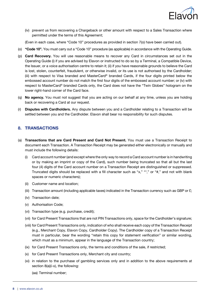

(iv) prevent us from recovering a Chargeback or other amount with respect to a Sales Transaction where permitted under the terms of this Agreement;

(Even in each case, where "Code 10" procedures as provided in section 7(o) have been carried out).

- (o) "Code 10". You must carry out a "Code 10" procedure (as applicable) in accordance with the Operating Guide.
- (p) Card Recovery. You will use reasonable means to recover any Card in circumstances set out in the Operating Guide (i) if you are advised by Elavon or instructed to do so by a Terminal, a Compatible Device, the Issuer, or a voice authorisation centre to retain it; (ii) if you have reasonable grounds to believe the Card is lost, stolen, counterfeit, fraudulent, or otherwise invalid, or its use is not authorised by the Cardholder; (iii) with respect to Visa branded and MasterCard® branded Cards, if the four digits printed below the embossed account number do not match the first four digits of the embossed account number; or (iv) with respect to MasterCard® branded Cards only, the Card does not have the "Twin Globes" hologram on the lower right-hand corner of the Card face.
- (q) No agency. You must not suggest that you are acting on our behalf at any time, unless you are holding back or recovering a Card at our request.
- (r) Disputes with Cardholders. Any dispute between you and a Cardholder relating to a Transaction will be settled between you and the Cardholder. Elavon shall bear no responsibility for such disputes.

#### 8. TRANSACTIONS

- (a) Transactions that are Card Present and Card Not Present. You must use a Transaction Receipt to document each Transaction. A Transaction Receipt may be generated either electronically or manually and must include the following details:
	- (i) Card account number (and except where the only way to record a Card account number is in handwriting or by making an imprint or copy of the Card), such number being truncated so that all but the last four (4) digits of the Card account number on a Transaction Receipt are distinguished or suppressed. Truncated digits should be replaced with a fill character such as "x," "\*," or "#," and not with blank spaces or numeric characters);
	- (ii) Customer name and location;
	- (iii) Transaction amount (including applicable taxes) indicated in the Transaction currency such as GBP or  $E$ ;
	- (iv) Transaction date;
	- (v) Authorisation Code;
	- (vi) Transaction type (e.g. purchase, credit);
	- (vii) for Card Present Transactions that are not PIN Transactions only, space for the Cardholder's signature;
	- (viii) for Card Present Transactions only, indication of who shall receive each copy of the Transaction Receipt (e.g., Merchant Copy, Elavon Copy, Cardholder Copy). The Cardholder copy of a Transaction Receipt must in particular, bear the wording "retain this copy for statement verification" or similar wording, which must as a minimum, appear in the language of the Transaction country;
	- (ix) for Card Present Transactions only, the terms and conditions of the sale, if restricted;
	- (x) for Card Present Transactions only, Merchant city and country;
	- (xi) in relation to the purchase of gambling services only and in addition to the above requirements at section 8(a)(i-x), the following:

(aa) Terminal number;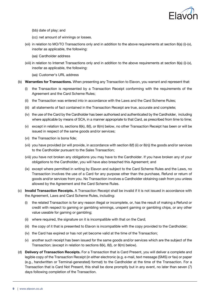

- (bb) date of play; and
- (cc) net amount of winnings or losses.
- (xii) in relation to MO/TO Transactions only and in addition to the above requirements at section 8(a) (i)-(x), insofar as applicable, the following:
	- (aa) Cardholder address
- (xiii) in relation to Internet Transactions only and in addition to the above requirements at section 8(a) (i)-(x), insofar as applicable, the following:

(aa) Customer's URL address

- (b) Warranties for Transactions. When presenting any Transaction to Elavon, you warrant and represent that:
	- (i) the Transaction is represented by a Transaction Receipt conforming with the requirements of the Agreement and the Card Scheme Rules;
	- (ii) the Transaction was entered into in accordance with the Laws and the Card Scheme Rules;
	- (iii) all statements of fact contained in the Transaction Receipt are true, accurate and complete;
	- (iv) the use of the Card by the Cardholder has been authorised and authenticated by the Cardholder, including where applicable by means of SCA, in a manner appropriate to that Card, as prescribed from time to time;
	- (v) except in relation to, sections  $8(k)$ ,  $8(l)$ , or  $8(m)$  below, no other Transaction Receipt has been or will be issued in respect of the same goods and/or services;
	- (vi) the Transaction is bona fide;
	- (vii) you have provided (or will provide, in accordance with section  $8(f)$  (ii) or  $8(n)$ ) the goods and/or services to the Cardholder pursuant to the Sales Transaction;
	- (viii) you have not broken any obligations you may have to the Cardholder. If you have broken any of your obligations to the Cardholder, you will have also breached this Agreement; and
	- (ix) except where permitted in writing by Elavon and subject to the Card Scheme Rules and the Laws, no Transaction involves the use of a Card for any purpose other than the purchase, Refund or return of goods and/or services from you. No Transaction involves a Cardholder obtaining cash from you unless allowed by the Agreement and the Card Scheme Rules.
- (c) Invalid Transaction Receipts. A Transaction Receipt shall be invalid if it is not issued in accordance with the Agreement, Laws and Card Scheme Rules, including:
	- the related Transaction is for any reason illegal or incomplete, or, has the result of making a Refund or credit with respect to gaming or gambling winnings, unspent gaming or gambling chips, or any other value useable for gaming or gambling;
	- (ii) where required, the signature on it is incompatible with that on the Card;
	- (iii) the copy of it that is presented to Elavon is incompatible with the copy provided to the Cardholder;
	- (iv) the Card has expired or has not yet become valid at the time of the Transaction;
	- (v) another such receipt has been issued for the same goods and/or services which are the subject of the Transaction; (except in relation to sections 8(k), 8(l), or 8(m) below).
- (d) Delivery of Transaction Receipts. For a Transaction that is Card Present, you will deliver a complete and legible copy of the Transaction Receipt (in either electronic (e.g. e-mail, text message (SMS) or fax) or paper (e.g., handwritten or Terminal-generated) format) to the Cardholder at the time of the Transaction. For a Transaction that is Card Not Present, this shall be done promptly but in any event, no later than seven (7) days following completion of the Transaction.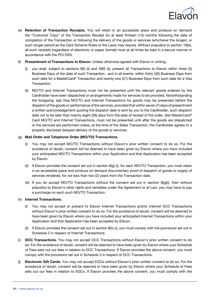

- (e) Retention of Transaction Receipts. You will retain in an accessible place and produce on demand the "Customer Copy" of the Transaction Receipt for at least thirteen (13) months following the date of completion of the Transaction or following the delivery of the goods or services (whichever the longer), or such longer period as the Card Scheme Rules or the Laws may require. Without prejudice to section 18(b), all such receipts (regardless of electronic or paper format) must at all times be kept in a secure manner in accordance with the PCI DSS.
- (f) Presentment of Transactions to Elavon. Unless otherwise agreed with Elavon in writing:
	- (i) you shall, subject to sections  $8(f)$  (ii) and  $26(f)$  (ii), present all Transactions to Elavon within three (3) Business Days of the date of such Transaction , and in all events, within thirty (30) Business Days from such date for a MasterCard® Transaction and twenty-one (21) Business Days from such date for a Visa Transaction;
	- (ii) MO/TO and Internet Transactions must not be presented until the relevant goods ordered by the Cardholder have been dispatched or arrangements made for services to be provided. Notwithstanding the foregoing: (aa) Visa MO/TO and Internet Transactions for goods may be presented before the dispatch of the goods or performance of the services, provided that within seven (7) days of presentment a written acknowledgement quoting the dispatch date is sent by you to the Cardholder, such dispatch date not to be later than twenty-eight (28) days from the date of receipt of the order, (bb) MasterCard® Card MO/TO and Internet Transactions, must not be presented until after the goods are dispatched or the services are performed unless, at the time of the Sales Transaction, the Cardholder agrees to a properly disclosed delayed delivery of the goods or services.

#### (g) Mail Order and Telephone Order (MO/TO) Transactions.

- (i) You may not accept MO/TO Transactions without Elavon's prior written consent to do so. For the avoidance of doubt, consent will be deemed to have been given by Elavon where you have included your anticipated MO/TO Transactions within your Application and that Application has been accepted by Elavon.
- (ii) If Elavon provides the consent set out in section 8(g) (i), for each MO/TO Transaction, you must retain in an accessible place and produce on demand documentary proof of dispatch of goods or supply of services rendered, for not less than two (2) years from the Transaction date.
- (iii) If you do accept MO/TO Transactions without the consent set out in section 8(g)(i), then without prejudice to Elavon's other rights and remedies under the Agreement or at Law, you may have to pay a surcharge on each such MO/TO Transaction.

#### (h) Internet Transactions.

- (i) You may not accept or present to Elavon Internet Transactions and/or Internet DCC Transactions without Elavon's prior written consent to do so. For the avoidance of doubt, consent will be deemed to have been given by Elavon where you have included your anticipated Internet Transactions within your Application and that Application has been accepted by Elavon.
- (ii) If Elavon provides the consent set out in section  $8(h)$  (i), you must comply with the provisions set out in Schedule 2 in respect of Internet Transactions.
- (i) DCC Transactions. You may not accept DCC Transactions without Elavon's prior written consent to do so. For the avoidance of doubt, consent will be deemed to have been given by Elavon where your Schedule of Fees sets out our fees in relation to DCC Transactions. If Elavon provides the above consent, you must comply with the provisions set out in Schedule 3 in respect of DCC Transactions.
- (i) Electronic Gift Cards. You may not accept EGCs without Elavon's prior written consent to do so. For the avoidance of doubt, consent will be deemed to have been given by Elavon where your Schedule of Fees sets out our fees in relation to EGCs. If Elavon provides the above consent, you must comply with the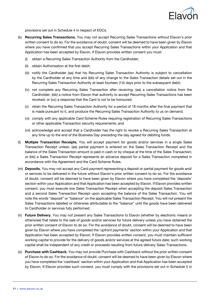

provisions set out in Schedule 4 in respect of EGCs.

- (k) **Recurring Sales Transactions.** You may not accept Recurring Sales Transactions without Elavon's prior written consent to do so. For the avoidance of doubt, consent will be deemed to have been given by Elavon where you have confirmed that you accept Recurring Sales Transactions within your Application and that Application has been accepted by Elavon. If Elavon provides written consent you must:
	- (i) obtain a Recurring Sales Transaction Authority from the Cardholder;
	- (ii) obtain Authorisation at the first debit;
	- (iii) notify the Cardholder (aa) that his Recurring Sales Transaction Authority is subject to cancellation by the Cardholder at any time and (bb) of any change to the Sales Transaction details set out in the Recurring Sales Transaction Authority at least fourteen (14) days prior to the subsequent debit;
	- (iv) not complete any Recurring Sales Transaction after receiving: (aa) a cancellation notice from the Cardholder; (bb) a notice from Elavon that authority to accept Recurring Sales Transactions has been revoked; or (cc) a response that the Card is not to be honoured;
	- (v) retain the Recurring Sales Transaction Authority for a period of 18 months after the final payment that is made pursuant to it, and produce the Recurring Sales Transaction Authority to us on demand;
	- (vi) comply with any applicable Card Scheme Rules requiring registration of Recurring Sales Transactions or other applicable Transaction security requirements; and
	- (vii) acknowledge and accept that a Cardholder has the right to revoke a Recurring Sales Transaction at any time up to the end of the Business Day preceding the day agreed for debiting funds.
- (l) Multiple Transaction Receipts. You will accept payment for goods and/or services in a single Sales Transaction Receipt unless: (aa) partial payment is entered on the Sales Transaction Receipt and the balance of the Sales Transaction amount is paid in cash or by cheque at the time of the Sales Transaction; or (bb) a Sales Transaction Receipt represents an advance deposit for a Sales Transaction completed in accordance with the Agreement and the Card Scheme Rules.
- (m) **Deposits.** You may not accept any Card payment representing a deposit or partial payment for goods and/ or services to be delivered in the future without Elavon's prior written consent to do so. For the avoidance of doubt, consent will be deemed to have been given by Elavon where you have completed the 'deposits' section within your Application and that Application has been accepted by Elavon. If Elavon provides written consent, you must execute one Sales Transaction Receipt when accepting the deposit Sales Transaction and a second Sales Transaction Receipt upon accepting the balance of the Sales Transaction. You will note the words "deposit" or "balance" on the applicable Sales Transaction Receipt. You will not present the Sales Transactions labelled or otherwise attributable to the "balance" until the goods have been delivered to Cardholder or services fully performed.
- (n) Future Delivery. You may not present any Sales Transactions to Elavon (whether by electronic means or otherwise) that relate to the sale of goods and/or services for future delivery unless you have obtained the prior written consent of Elavon to do so. For the avoidance of doubt, consent will be deemed to have been given by Elavon where you have completed the 'upfront payments' section within your Application and that Application has been accepted by Elavon. If Elavon provides written consent, you must maintain sufficient working capital to provide for the delivery of goods and/or services at the agreed future date; such working capital shall be independent of any credit or proceeds resulting from future delivery Sales Transactions.
- (o) Purchase with Cashback. You may not provide Purchase with Cashback without the prior written consent of Elavon to do so. For the avoidance of doubt, consent will be deemed to have been given by Elavon where you have completed the 'cashback' section within your Application and that Application has been accepted by Elavon. If Elavon provides such consent, you must comply with the provisions set out in Schedule 5 in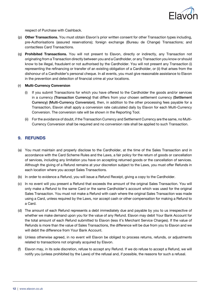

respect of Purchase with Cashback.

- (p) Other Transactions. You must obtain Elavon's prior written consent for other Transaction types including. pre-Authorisations (assured reservations); foreign exchange (Bureau de Change) Transactions; and contactless Card Transactions.
- (q) Prohibited Transactions. You will not present to Elavon, directly or indirectly, any Transaction not originating from a Transaction directly between you and a Cardholder, or any Transaction you know or should know to be illegal, fraudulent or not authorised by the Cardholder. You will not present any Transaction (i) representing the refinancing or transfer of an existing obligation of a Cardholder, or (ii) that arises from the dishonour of a Cardholder's personal cheque. In all events, you must give reasonable assistance to Elavon in the prevention and detection of financial crime at your locations.

#### (r) Multi-Currency Conversion

- (i) If you submit Transactions for which you have offered to the Cardholder the goods and/or services in a currency (Transaction Currency) that differs from your chosen settlement currency (Settlement Currency) (Multi-Currency Conversion), then, in addition to the other processing fees payable for a Transaction, Elavon shall apply a conversion rate calculated daily by Elavon for each Multi-Currency Conversion. The conversion rate will be shown in the Reporting Tool.
- (ii) For the avoidance of doubt, if the Transaction Currency and Settlement Currency are the same, no Multi-Currency Conversion shall be required and no conversion rate shall be applied to such Transaction.

#### 9. REFUNDS

- (a) You must maintain and properly disclose to the Cardholder, at the time of the Sales Transaction and in accordance with the Card Scheme Rules and the Laws, a fair policy for the return of goods or cancellation of services, including any limitation you have on accepting returned goods or the cancellation of services. Although the giving of a Refund remains at your discretion subject to the Laws, you must offer Refunds in each location where you accept Sales Transactions.
- (b) In order to evidence a Refund, you will issue a Refund Receipt, giving a copy to the Cardholder.
- (c) In no event will you present a Refund that exceeds the amount of the original Sales Transaction. You will only make a Refund to the same Card or the same Cardholder's account which was used for the original Sales Transaction. You must not make a Refund with cash where the original Sales Transaction was made using a Card, unless required by the Laws, nor accept cash or other compensation for making a Refund to a Card.
- (d) The amount of each Refund represents a debt immediately due and payable by you to us irrespective of whether we make demand upon you for the value of any Refund. Elavon may debit Your Bank Account for the total amount of each Refund submitted to Elavon (less it's Merchant Service Charges). If the value of Refunds is more than the value of Sales Transactions, the difference will be due from you to Elavon and we will debit the difference from Your Bank Account.
- (e) Unless otherwise agreed, in no event will Elavon be obliged to process returns, refunds, or adjustments related to transactions not originally acquired by Elavon.
- (f) Elavon may, in its sole discretion, refuse to accept any Refund. If we do refuse to accept a Refund, we will notify you (unless prohibited by the Laws) of the refusal and, if possible, the reasons for such a refusal.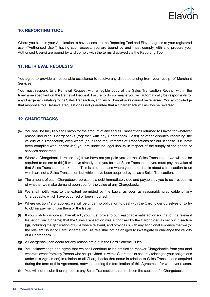

#### 10. REPORTING TOOL

Where you elect in your Application to have access to the Reporting Tool and Elavon agrees to your registered user ("Authorised User") having such access, you are bound by and must comply with and procure your Authorised User(s) are bound by and comply with the terms displayed via the Reporting Tool.

#### 11. RETRIEVAL REQUESTS

You agree to provide all reasonable assistance to resolve any disputes arising from your receipt of Merchant Services.

You must respond to a Retrieval Request with a legible copy of the Sales Transaction Receipt within the timeframe specified on the Retrieval Request. Failure to do so means you will automatically be responsible for any Chargeback relating to the Sales Transaction, and such Chargebacks cannot be reversed. You acknowledge that response to a Retrieval Request does not guarantee that a Chargeback will always be reversed.

#### 12. CHARGEBACKS

- (a) You shall be fully liable to Elavon for the amount of any and all Transactions returned to Elavon for whatever reason including, Chargebacks (together with any Chargeback Costs) or other disputes regarding the validity of a Transaction, even where (aa) all the requirements of Transactions set out in these TOS have been complied with, and/or (bb) you are under no legal liability in respect of the supply of the goods or services concerned.
- (b) Where a Chargeback is raised (aa) if we have not yet paid you for that Sales Transaction, we will not be required to do so; or (bb) if we have already paid you for that Sales Transaction, you must pay the value of that Sales Transaction back to us. This is also the case where you send details about a transaction to us which are not a Sales Transaction but which have been acquired by us as a Sales Transaction.
- (c) The amount of each Chargeback represents a debt immediately due and payable by you to us irrespective of whether we make demand upon you for the value of any Chargebacks.
- (d) We shall notify you, to the extent permitted by the Laws, as soon as reasonably practicable of any Chargebacks which have occurred or been incurred.
- (e) Where section 12(b) applies, we will be under no obligation to deal with the Cardholder ourselves or to try to obtain payment from them or the Issuer.
- (f) If you wish to dispute a Chargeback, you must prove to our reasonable satisfaction (or that of the relevant Issuer or Card Scheme) that the Sales Transaction was authorised by the Cardholder (as set out in section (g)), including the application of SCA where relevant, and provide us with any additional evidence that we (or the relevant Issuer or Card Scheme) require. We shall not be obliged to investigate or challenge the validity of a Chargeback.
- (g) A Chargeback can occur for any reason set out in the Card Scheme Rules.
- (h) You acknowledge and agree that we shall continue to be entitled to recover Chargebacks from you (and where relevant from any Person who has provided us with a Guarantee or security relating to your obligations under this Agreement) in relation to all Chargebacks that occur in relation to Sales Transactions acquired during the term of this Agreement, notwithstanding the termination of this Agreement for whatever reason.
- (i) You will not resubmit or reprocess any Sales Transaction that has been the subject of a Chargeback.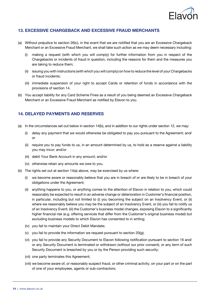

#### 13. EXCESSIVE CHARGEBACK AND EXCESSIVE FRAUD MERCHANTS

- (a) Without prejudice to section 26(c), in the event that we are notified that you are an Excessive Chargeback Merchant or an Excessive Fraud Merchant, we shall take such action as we may deem necessary including:
	- (i) making a request (with which you will comply) for further information from you in respect of the Chargebacks or incidents of fraud in question, including the reasons for them and the measures you are taking to reduce them;
	- (ii) issuing you with instructions (with which you will comply) on how to reduce the level of your Chargebacks or fraud incidents;
	- (iii) immediate suspension of your right to accept Cards or retention of funds in accordance with the provisions of section 14.
- (b) You accept liability for any Card Scheme Fines as a result of you being deemed an Excessive Chargeback Merchant or an Excessive Fraud Merchant as notified by Elavon to you.

#### 14. DELAYED PAYMENTS AND RESERVES

- (a) In the circumstances set out below in section 14(b), and in addition to our rights under section 12, we may:
	- (i) delay any payment that we would otherwise be obligated to pay you pursuant to the Agreement; and/ or
	- (ii) require you to pay funds to us, in an amount determined by us, to hold as a reserve against a liability you may incur; and/or
	- (iii) debit Your Bank Account in any amount; and/or
	- (iv) otherwise retain any amounts we owe to you.
- (b) The rights set out at section 14(a) above, may be exercised by us where:
	- (i) we become aware or reasonably believe that you are in breach of or are likely to be in breach of your obligations under the Agreement;
	- (ii) anything happens to you, or anything comes to the attention of Elavon in relation to you, which could reasonably be expected to result in an adverse change or deterioration in Customer's financial position, in particular, including but not limited to (i) you becoming the subject on an Insolvency Event, or (ii) where we reasonably believe you may be the subject of an Insolvency Event, or (iii) you fail to notify us of an Insolvency Event; (iii) the Customer's business model changes, exposing Elavon to a significantly higher financial risk (e.g. offering services that differ from the Customer's original business model) but excluding business models to which Elavon has consented to in writing;
	- (iv) vou fail to maintain your Direct Debit Mandate:
	- (v) you fail to provide the information we request pursuant to section  $20(g)$ ;
	- (vi) you fail to provide any Security Document to Elavon following notification pursuant to section 16 and/ or any Security Document is terminated or withdrawn (without our prior consent), or any term of such Security Document is breached by you or by the Person providing such security;
	- (vii) one party terminates this Agreement;
	- (viii) we become aware of, or reasonably suspect fraud, or other criminal activity, on your part or on the part of one of your employees, agents or sub-contractors;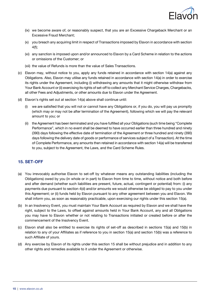

- (ix) we become aware of, or reasonably suspect, that you are an Excessive Chargeback Merchant or an Excessive Fraud Merchant;
- (x) you breach any acquiring limit in respect of Transactions imposed by Elavon in accordance with section 4(f);
- (xi) any sanction is imposed upon and/or announced to Elavon by a Card Scheme in relation to the actions or omissions of the Customer; or
- (xii) the value of Refunds is more than the value of Sales Transactions.
- (c) Elavon may, without notice to you, apply any funds retained in accordance with section 14(a) against any Obligations. Also, Elavon may utilise any funds retained in accordance with section 14(a) in order to exercise its rights under the Agreement, including (i) withdrawing any amounts that it might otherwise withdraw from Your Bank Account or (ii) exercising its rights of set-off to collect any Merchant Service Charges, Chargebacks, all other Fees and Adjustments, or other amounts due to Elavon under the Agreement.
- (d) Elavon's rights set out at section 14(a) above shall continue until:
	- (i) we are satisfied that you will not or cannot have any Obligations or, if you do, you will pay us promptly (which may or may not be after termination of the Agreement), following which we will pay the relevant amount to you; or
	- (ii) the Agreement has been terminated and you have fulfilled all your Obligations (such time being "Complete Performance", which in no event shall be deemed to have occurred earlier than three hundred and ninety (390) days following the effective date of termination of the Agreement or three hundred and ninety (390) days following the delivery date of goods or performance of services subject of a Transaction). At the time of Complete Performance, any amounts then retained in accordance with section 14(a) will be transferred to you, subject to the Agreement, the Laws, and the Card Scheme Rules.

#### 15. SET-OFF

- (a) You irrevocably authorise Elavon to set-off by whatever means any outstanding liabilities (including the Obligations) owed by you (in whole or in part) to Elavon from time to time, without notice and both before and after demand (whether such liabilities are present, future, actual, contingent or potential) from: (i) any payments due pursuant to section 4(d) and/or amounts we would otherwise be obliged to pay to you under this Agreement; or (ii) funds held by Elavon pursuant to any other agreement between you and Elavon. We shall inform you, as soon as reasonably practicable, upon exercising our rights under this section 15(a).
- (b) In an Insolvency Event, you must maintain Your Bank Account as required by Elavon and we shall have the right, subject to the Laws, to offset against amounts held in Your Bank Account, any and all Obligations you may have to Elavon whether or not relating to Transactions initiated or created before or after the commencement of the Insolvency Event.
- (c) Elavon shall also be entitled to exercise its rights of set-off as described in sections 15(a) and 15(b) in relation to any of your Affiliates as if reference to you in section 15(a) and section 15(b) was a reference to such Affiliate of yours.
- (d) Any exercise by Elavon of its rights under this section 15 shall be without prejudice and in addition to any other rights and remedies available to it under the Agreement or otherwise.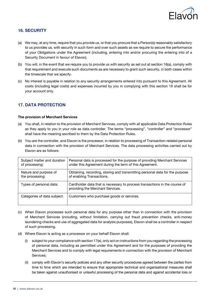

## 16. SECURITY

- (a) We may, at any time, require that you provide us, or that you procure that a Person(s) reasonably satisfactory to us provides us, with security in such form and over such assets as we require to secure the performance of your Obligations under the Agreement (including, entering into and/or procuring the entering into of a Security Document in favour of Elavon).
- (b) You will, in the event that we require you to provide us with security as set out at section 16(a), comply with that requirement and execute such documents as are necessary to grant such security, in both cases within the timescale that we specify.
- (c) No interest is payable in relation to any security arrangements entered into pursuant to this Agreement. All costs (including legal costs) and expenses incurred by you in complying with this section 16 shall be for your account only.

## 17. DATA PROTECTION

#### The provision of Merchant Services

- (a) You shall, in relation to the provision of Merchant Services, comply with all applicable Data Protection Rules as they apply to you in your role as data controller. The terms "processing", "controller" and "processor" shall have the meaning ascribed to them by the Data Protection Rules.
- (b) You are the controller, and Elavon is the processor, in relation to processing of Transaction-related personal data in connection with the provision of Merchant Services. The data processing activities carried out by Elavon are as follows:

| Subject matter and duration | Personal data is processed for the purpose of providing Merchant Services                                      |
|-----------------------------|----------------------------------------------------------------------------------------------------------------|
| of processing:              | under this Agreement during the term of this Agreement.                                                        |
| Nature and purpose of       | Obtaining, recording, storing and transmitting personal data for the purpose                                   |
| the processing:             | of enabling Transactions.                                                                                      |
| Types of personal data:     | Cardholder data that is necessary to process transactions in the course of<br>providing the Merchant Services. |
| Categories of data subject: | Customers who purchase goods or services.                                                                      |

- (c) When Elavon processes such personal data for any purpose other than in connection with the provision of Merchant Services (including, without limitation, carrying out fraud prevention checks, anti-money laundering checks and use of aggregated data for analysis purposes), Elavon shall be a controller in respect of such processing.
- (d) Where Elavon is acting as a processor on your behalf Elavon shall:
	- (i) subject to your compliance with section 17(e), only act on instructions from you regarding the processing of personal data, including as permitted under this Agreement and for the purposes of providing the Merchant Services and to comply with legal requirements in connection with the provision of Merchant Services;
	- (ii) comply with Elavon's security policies and any other security procedures agreed between the parties from time to time which are intended to ensure that appropriate technical and organisational measures shall be taken against unauthorised or unlawful processing of the personal data and against accidental loss or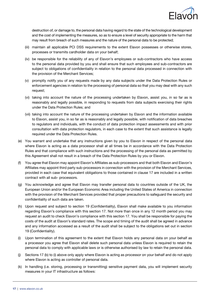

destruction of, or damage to, the personal data having regard to the state of the technological development and the cost of implementing the measures, so as to ensure a level of security appropriate to the harm that may result from breach of such measures and the nature of the personal data to be protected;

- (iii) maintain all applicable PCI DSS requirements to the extent Elavon possesses or otherwise stores, processes or transmits cardholder data on your behalf;
- (iv) be responsible for the reliability of any of Elavon's employees or sub-contractors who have access to the personal data provided by you and shall ensure that such employees and sub-contractors are subject to obligations of confidentiality in relation to the personal data processed in connection with the provision of the Merchant Services;
- (v) promptly notify you of any requests made by any data subjects under the Data Protection Rules or enforcement agencies in relation to the processing of personal data so that you may deal with any such request;
- (vi) taking into account the nature of the processing undertaken by Elavon, assist you, in so far as is reasonably and legally possible, in responding to requests from data subjects exercising their rights under the Data Protection Rules; and
- (vii) taking into account the nature of the processing undertaken by Elavon and the information available to Elavon, assist you, in so far as is reasonably and legally possible, with notification of data breaches to regulators and individuals, with the conduct of data protection impact assessments and with prior consultation with data protection regulators, in each case to the extent that such assistance is legally required under the Data Protection Rules.
- (e) You warrant and undertake that any instructions given by you to Elavon in respect of the personal data where Elavon is acting as a data processor shall at all times be in accordance with the Data Protection Rules and that compliance with such instructions and the processing of the personal data as permitted by this Agreement shall not result in a breach of the Data Protection Rules by you or Elavon.
- (f) You agree that Elavon may appoint Elavon's Affiliates as sub-processors and that both Elavon and Elavon's Affiliates may appoint third party sub-processors in connection with the provision of the Merchant Services, provided in each case that equivalent obligations to those contained in clause 17 are included in a written contract with all sub- processors.
- (g) You acknowledge and agree that Elavon may transfer personal data to countries outside of the UK, the European Union and/or the European Economic Area including the United States of America in connection with the provision of the Merchant Services provided that proper precautions to safeguard the security and confidentiality of such data are taken.
- (h) Upon request and subject to section 19 (Confidentiality), Elavon shall make available to you information regarding Elavon's compliance with this section 17. Not more than once in any 12 month period you may request an audit to check Elavon's compliance with this section 17. You shall be responsible for paying the costs of the audit at Elavon's standard rates. The scope and timing of the audit shall be agreed in advance and any information accessed as a result of the audit shall be subject to the obligations set out in section 19 (Confidentiality).
- (i) Upon termination of this agreement to the extent that Elavon holds any personal data on your behalf as a processor you agree that Elavon shall delete such personal data unless Elavon is required to retain the personal data to comply with applicable laws or is otherwise authorised by law to retain the personal data.
- (j) Sections 17 (b) to (i) above only apply where Elavon is acting as processor on your behalf and do not apply where Elavon is acting as controller of personal data.
- (k) In handling (i.e. storing, processing or transmitting) sensitive payment data, you will implement security measures in your IT infrastructure as follows: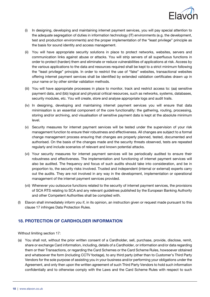

- (i) In designing, developing and maintaining internet payment services, you will pay special attention to the adequate segregation of duties in information technology (IT) environments (e.g. the development, test and production environments) and the proper implementation of the "least privilege" principle as the basis for sound identity and access management.
- (ii) You will have appropriate security solutions in place to protect networks, websites, servers and communication links against abuse or attacks. You will strip servers of all superfluous functions in order to protect (harden) them and eliminate or reduce vulnerabilities of applications at risk. Access by the various applications to the data and resources required shall be kept to a strict minimum following the "least privilege" principle. In order to restrict the use of "fake" websites, transactional websites offering internet payment services shall be identified by extended validation certificates drawn up in your name or by other similar validation methods.
- (iii) You will have appropriate processes in place to monitor, track and restrict access to: (aa) sensitive payment data, and (bb) logical and physical critical resources, such as networks, systems, databases, security modules, etc. You will create, store and analyse appropriate logs and audit trails.
- (iv) In designing, developing and maintaining internet payment services you will ensure that data minimisation is an essential component of the core functionality: the gathering, routing, processing, storing and/or archiving, and visualisation of sensitive payment data is kept at the absolute minimum level.
- (v) Security measures for internet payment services will be tested under the supervision of your risk management function to ensure their robustness and effectiveness. All changes are subject to a formal change management process ensuring that changes are properly planned, tested, documented and authorised. On the basis of the changes made and the security threats observed, tests are repeated regularly and include scenarios of relevant and known potential attacks.
- (vi) Your security measures for internet payment services will be periodically audited to ensure their robustness and effectiveness. The implementation and functioning of internet payment services will also be audited. The frequency and focus of such audits should take into consideration, and be in proportion to, the security risks involved. Trusted and independent (internal or external) experts carry out the audits. They are not involved in any way in the development, implementation or operational management of the internet payment services provided.
- (vii) Whenever you outsource functions related to the security of internet payment services, the provisions of SCA RTS relating to SCA and any relevant guidelines published by the European Banking Authority and other Competent Authorities shall be complied with.
- (I) Elavon shall immediately inform you if, in its opinion, an instruction given or request made pursuant to this clause 17 infringes Data Protection Rules.

#### 18. PROTECTION OF CARDHOLDER INFORMATION

Without limiting section 17:

(a) You shall not, without the prior written consent of a Cardholder, sell, purchase, provide, disclose, remit, share or exchange Card information, including, details of a Cardholder, or information and/or data regarding them or their Transactions, or regarding the Card Schemes or the Card Scheme Rules, howsoever obtained and whatsoever the form (including CCTV footage), to any third party (other than to Customer's Third Party Vendors for the sole purpose of assisting you in your business and/or performing your obligations under the Agreement, and only then upon the written agreement of such Third Party Vendors to hold such information confidentially and to otherwise comply with the Laws and the Card Scheme Rules with respect to such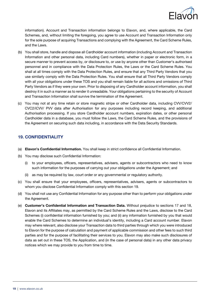

information). Account and Transaction information belongs to Elavon, and, where applicable, the Card Schemes, and, without limiting the foregoing, you agree to use Account and Transaction Information only for the sole purpose of acquiring Transactions and complying with the Agreement, the Card Scheme Rules, and the Laws.

- (b) You shall store, handle and dispose all Cardholder account information (including Account and Transaction Information and other personal data, including Card numbers), whether in paper or electronic form, in a secure manner to prevent access by, or disclosure to, or use by anyone other than Customer's authorised personnel and in compliance with the Data Protection Rules, the Laws or the Card Scheme Rules. You shall at all times comply with the Data Protection Rules, and ensure that any Third Party Vendors that you use similarly comply with the Data Protection Rules. You shall ensure that all Third Party Vendors comply with all your obligations under these TOS and you shall remain liable for all actions and omissions of Third Party Vendors as if they were your own. Prior to disposing of any Cardholder account information, you shall destroy it in such a manner as to render it unreadable. Your obligations pertaining to the security of Account and Transaction Information shall survive the termination of the Agreement.
- (c) You may not at any time retain or store magnetic stripe or other Cardholder data, including CVV/CVV2/ CVC2/iCVV/ PVV data after Authorisation for any purposes including record keeping, and additional Authorisation processing. If you store Cardholder account numbers, expiration dates, or other personal Cardholder data in a database, you must follow the Laws, the Card Scheme Rules, and the provisions of the Agreement on securing such data including, in accordance with the Data Security Standards.

#### 19. CONFIDENTIALITY

- (a) Elavon's Confidential Information. You shall keep in strict confidence all Confidential Information.
- (b) You may disclose such Confidential Information:
	- (i) to your employees, officers, representatives, advisers, agents or subcontractors who need to know such information for the purposes of carrying out your obligations under the Agreement; and
	- (ii) as may be required by law, court order or any governmental or regulatory authority.
- (c) You shall ensure that your employees, officers, representatives, advisers, agents or subcontractors to whom you disclose Confidential Information comply with this section 19.
- (d) You shall not use any Confidential Information for any purpose other than to perform your obligations under the Agreement.
- (e) Customer's Confidential Information and Transaction Data. Without prejudice to sections 17 and 18, Elavon and its Affiliates may, as permitted by the Card Scheme Rules and the Laws, disclose to the Card Schemes (i) confidential information furnished by you; and (ii) any information furnished by you that would enable the Card Schemes to determine an individual's identity, including a Card account number. Elavon may where relevant, also disclose your Transaction data to third parties through which you were introduced to Elavon for the purpose of calculation and payment of applicable commission and other fees to such third parties and for the purpose of facilitating their services to you. Elavon may also make such disclosures of data as set out in these TOS, the Application, and (in the case of personal data) in any other data privacy notices which we may provide to you from time to time.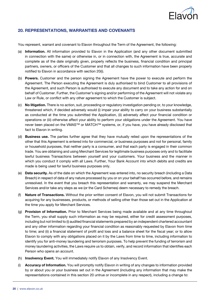

#### 20. REPRESENTATIONS, WARRANTIES AND COVENANTS

You represent, warrant and covenant to Elavon throughout the Term of the Agreement, the following:

- (a) Information. All information provided to Elavon in the Application (and any other document submitted in connection with the same) or otherwise in, or in connection with, the Agreement is true, accurate and complete as of the date originally given, properly reflects the business, financial condition and principal partners, owners, or officers of the Customer and that all changes to such information have been properly notified to Elavon in accordance with section 20(i).
- (b) Powers. Customer and the person signing the Agreement have the power to execute and perform the Agreement. The Person executing the Agreement is duly authorised to bind Customer to all provisions of the Agreement, and such Person is authorised to execute any document and to take any action for and on behalf of Customer. Further, the Customer's signing and/or performing of the Agreement will not violate any Law or Rule, or conflict with any other agreement to which the Customer is subject.
- (c) No litigation. There is no action, suit, proceeding or regulatory investigation pending or, to your knowledge, threatened which, if decided adversely would (i) impair your ability to carry on your business substantially as conducted at the time you submitted the Application, (ii) adversely affect your financial condition or operations or (iii) otherwise affect your ability to perform your obligations under the Agreement. You have never been placed on the VMAS™ or MATCH™ systems, or, if you have, you have already disclosed that fact to Elavon in writing.
- (d) Business use. The parties further agree that they have mutually relied upon the representations of the other that this Agreement is entered into for commercial, or business purposes and not for personal, family or household purposes, that neither party is a consumer, and that each party is engaged in their common trade. You are obtaining and using Merchant Services for legitimate business purposes only and to facilitate lawful business Transactions between yourself and your customers. Your business and the manner in which you conduct it comply with all Laws. Further, Your Bank Account into which debits and credits are made is being used for lawful business purposes only.
- (e) Data security. As of the date on which the Agreement was entered into, no security breach (including a Data Breach) in respect of data of any nature processed by you or on your behalf has occurred before, and remains unresolved. In the event that you breach this representation and warranty, we may suspend the Merchant Services and/or take any steps as we (or the Card Schemes) deem necessary to remedy the breach.
- (f) Nature of Transactions. Without the prior written consent of Elavon, you will not submit Transactions for acquiring for any businesses, products, or methods of selling other than those set out in the Application at the time you apply for Merchant Services.
- (g) Provision of Information. Prior to Merchant Services being made available and at any time throughout the Term, you shall supply such information as may be required, either for credit assessment purposes, including but not limited to (i) audited financial statements prepared by an independent chartered accountant and any other information regarding your financial condition as reasonably requested by Elavon from time to time; and (ii) a financial statement of profit and loss and a balance sheet for the fiscal year; or to allow Elavon to comply with any obligations placed on it by the Laws from time to time, including information to identify you for anti-money laundering and terrorism purposes. To help prevent the funding of terrorism and money laundering activities, the Laws require us to obtain, verify, and record information that identifies each Person who opens an account.
- (h) Insolvency Event. You will immediately notify Elavon of any Insolvency Event.
- (i) Accuracy of Information. You will promptly notify Elavon in writing of any changes to information provided by or about you or your business set out in the Agreement (including any information that may make the representations contained in this section 20 untrue or incomplete in any respect), including a change to: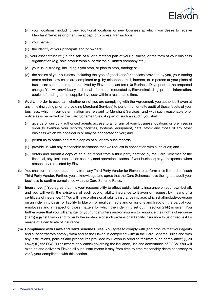

- (i) your locations, including any additional locations or new business at which you desire to receive Merchant Services or otherwise accept or process Transactions;
- (ii) your name;
- (iii) the identity of your principals and/or owners;
- (iv) your asset structure (i.e. the sale of all or a material part of your business) or the form of your business organisation (e.g. sole proprietorship, partnership, limited company etc.);
- (v) your usual trading, including if you stop, or plan to stop, trading; or
- (vi) the nature of your business, including the type of goods and/or services provided by you, your trading terms and/or how sales are completed (e.g. by telephone, mail, internet, or in person at your place of business); such notice to be received by Elavon at least ten (10) Business Days prior to the proposed change. You will provide any additional information requested by Elavon (including, product information, copies of trading terms, supplier invoices) within a reasonable time.
- (j) Audit. In order to ascertain whether or not you are complying with the Agreement, you authorise Elavon at any time (including prior to providing Merchant Services) to perform an on-site audit of those facets of your business, which in our determination are relevant to Merchant Services, and with such reasonable prior notice as is permitted by the Card Scheme Rules. As part of such an audit, you shall:
	- (i) give us or our duly authorised agents access to all or any of your business locations or premises in order to examine your records, facilities, systems, equipment, data, stock and those of any other business which we consider is or may be connected to you; and
	- (ii) permit us to obtain and retain copies of all or any such records;
	- (iii) provide us with any reasonable assistance that we request in connection with such audit; and
	- (iv) obtain and submit a copy of an audit report from a third party certified by the Card Schemes of the financial, physical, information security (and operational facets of your business) at your expense, when reasonably requested by Elavon.
- (k) You shall further procure authority from any Third Party Vendor for Elavon to perform a similar audit of such Third Party Vendor. Further, you acknowledge and agree that the Card Schemes have the right to audit your business to confirm compliance with the Card Scheme Rules.
- (I) Insurance. (i) You agree that it is your responsibility to effect public liability insurance on your own behalf, and you will verify the existence of such public liability insurance to Elavon on request by means of a certificate of insurance. (ii) You will have professional liability insurance in place, which shall include coverage on an indemnity basis for liability to Elavon for negligent acts and omissions and fraud on the part of your employees and in respect of those matters for which the indemnity set out in section 21(h) is given. You further agree that you will arrange for your underwriters and/or insurers to renounce their rights of recourse (if any) against Elavon and to verify the existence of such professional liability insurance to us on request by means of a certificate of insurance.
- (m) Compliance with Laws and Card Scheme Rules. You agree to comply with (and procure that your agents and subcontractors comply with) and assist Elavon in complying with: (i) the Card Scheme Rules and with any instructions, policies and procedures provided by Elavon in order to facilitate such compliance; (ii) all Laws; (iii) the EGC Rules (where applicable) governing the issuance, use and acceptance of EGCs. You will execute and deliver to Elavon all such instruments it may from time to time reasonably deem necessary to verify your compliance with this section.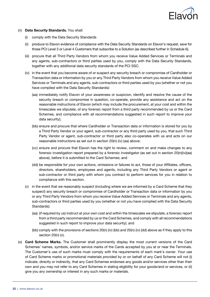

- (n) Data Security Standards. You shall:
	- (i) comply with the Data Security Standards
	- (ii) produce to Elavon evidence of compliance with the Data Security Standards on Elavon's request, save for those PCI Level 3 or Level 4 Customers that subscribe to a Solution (as described further in Schedule 6).
	- (iii) procure that all Third Party Vendors from whom you receive Value Added Services or Terminals and any agents, sub-contractors or third parties used by you, comply with the Data Security Standards, together with any additional data security standards of the PCI SSC.
	- (iv) in the event that you become aware of or suspect any security breach or compromise of Cardholder or Transaction data or information by you or any Third Party Vendors from whom you receive Value Added Services or Terminals and any agents, sub-contractors or third parties used by you (whether or not you have complied with the Data Security Standards):
		- (aa) immediately notify Elavon of your awareness or suspicion, identify and resolve the cause of the security breach or compromise in question, co-operate, provide any assistance and act on the reasonable instructions of Elavon (which may include the procurement, at your cost and within the timescales we stipulate, of any forensic report from a third party recommended by us or the Card Schemes, and compliance with all recommendations suggested in such report to improve your data security);
		- (bb) ensure and procure that where Cardholder or Transaction data or information is stored for you by a Third Party Vendor or your agent, sub-contractor or any third party used by you, that such Third Party Vendor or agent, sub-contractor or third party also co-operates with us and acts on our reasonable instructions as set out in section 20(n) (iv) (aa) above;
		- (cc) ensure and procure that Elavon has the right to review, comment on and make changes to any forensic investigation report prepared by a forensic investigator (as set out in section 20(n)(iv)(aa) above), before it is submitted to the Card Schemes; and
		- (dd) be responsible for your own actions, omissions or failures to act, those of your Affiliates, officers, directors, shareholders, employees and agents, including any Third Party Vendors or agent or sub-contractor or third party with whom you contract to perform services for you in relation to compliance with this section.
	- (v) in the event that we reasonably suspect (including where we are informed by a Card Scheme that they suspect) any security breach or compromise of Cardholder or Transaction data or information by you or any Third Party Vendors from whom you receive Value Added Services or Terminals and any agents, sub-contractors or third parties used by you (whether or not you have complied with the Data Security Standards):
		- (aa) (if required by us) instruct at your own cost and within the timescales we stipulate, a forensic report from a third party recommended by us or the Card Schemes, and comply with all recommendations suggested in such report to improve your data security); and
		- (bb) comply with the provisions of sections 20(n) (iv) (bb) and 20(n) (iv) (dd) above as if they apply to this section 20(n) (v).
- (o) Card Scheme Marks. The Customer shall prominently display the most current versions of the Card Schemes' names, symbols, and/or service marks of the Cards accepted by you at or near the Terminals. The Customer's use of such marks must comply with the requirements of each mark's owner. Your use of Card Scheme marks or promotional materials provided by or on behalf of any Card Scheme will not (i) indicate, directly or indirectly, that any Card Schemes endorses any goods and/or services other than their own and you may not refer to any Card Schemes in stating eligibility for your goods/and or services, or (ii) give you any ownership or interest in any such marks or materials.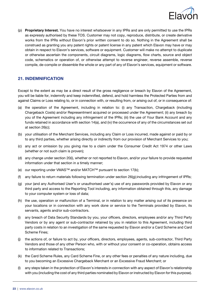

(p) Proprietary Interest. You have no interest whatsoever in any IPRs and are only permitted to use the IPRs as expressly authorised by these TOS. Customer may not copy, reproduce, distribute, or create derivative works from the IPRs without Elavon's prior written consent to do so. Nothing in the Agreement shall be construed as granting you any patent rights or patent license in any patent which Elavon may have or may obtain in respect to Elavon's services, software or equipment. Customer will make no attempt to duplicate or otherwise ascertain the components, circuit diagrams, logic diagrams, flow charts, source and object code, schematics or operation of, or otherwise attempt to reverse engineer, reverse assemble, reverse compile, de-compile or dissemble the whole or any part of any of Elavon's services, equipment or software.

#### 21. INDEMNIFICATION

Except to the extent as may be a direct result of the gross negligence or breach by Elavon of the Agreement, you will be liable for, indemnify and keep indemnified, defend, and hold harmless the Protected Parties from and against Claims or Loss relating to, or in connection with, or resulting from, or arising out of, or in consequence of:

- (a) the operation of the Agreement, including in relation to: (i) any Transaction, Chargeback (including Chargeback Costs) and/or Representment acquired or processed under the Agreement; (ii) any breach by you of the Agreement including any infringement of the IPRs; (iii) the use of Your Bank Account and any funds retained in accordance with section 14(a), and (iv) the occurrence of any of the circumstances set out at section 26(c);
- (b) your utilisation of the Merchant Services, including any Claim or Loss incurred, made against or paid by or to any third parties, whether arising directly or indirectly from our provision of Merchant Services to you;
- (c) any act or omission by you giving rise to a claim under the Consumer Credit Act 1974 or other Laws (whether or not such claim is proven);
- (d) any change under section 20(i), whether or not reported to Elavon, and/or your failure to provide requested information under that section in a timely manner;
- (e) our reporting under VMAS™ and/or MATCH™ pursuant to section 17(k);
- (f) any failure to return materials following termination under section 26(g);including any infringement of IPRs;
- (g) your (and any Authorised User's or unauthorised user's) use of any passwords provided by Elavon or any third party and access to the Reporting Tool including, any information obtained through this, any damage to your computer system or loss of data;
- (h) the use, operation or malfunction of a Terminal, or in relation to any matter arising out of its presence on your locations or in connection with any work done or service to the Terminals provided by Elavon, its servants, agents and/or sub-contractors.
- (i) any breach of Data Security Standards by you, your officers, directors, employees and/or any Third Party Vendors or by any agent or sub-contractor retained by you in relation to this Agreement, including third party costs in relation to an investigation of the same requested by Elavon and/or a Card Scheme and Card Scheme Fines;
- (j) the actions of, or failure to act by, your officers, directors, employees, agents, sub-contractor, Third Party Vendors and those of any other Person who, with or without your consent or co-operation, obtains access to information related to Transactions;
- (k) the Card Scheme Rules, any Card Scheme Fine, or any other fees or penalties of any nature including, due to you becoming an Excessive Chargeback Merchant or an Excessive Fraud Merchant; or
- (I) any steps taken in the protection of Elavon's interests in connection with any aspect of Elavon's relationship with you (including the cost of any third parties nominated by Elavon or instructed by Elavon for this purpose).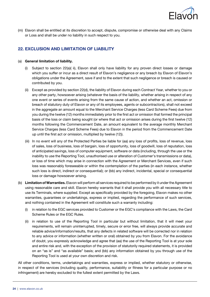

(m) Elavon shall be entitled at its discretion to accept, dispute, compromise or otherwise deal with any Claims or Loss and shall be under no liability in such respect to you.

## 22. EXCLUSION AND LIMITATION OF LIABILITY

#### (a) General limitation of liability.

- Subject to section 22(a)( ii), Elavon shall only have liability for any proven direct losses or damage which you suffer or incur as a direct result of Elavon's negligence or any breach by Elavon of Elavon's obligations under the Agreement, save if and to the extent that such negligence or breach is caused or contributed by you.
- (ii) Except as provided by section 22(d), the liability of Elavon during each Contract Year, whether to you or any other party, howsoever arising (whatever the basis of the liability, whether arising in respect of any one event or series of events arising from the same cause of action, and whether an act, omission or breach of statutory duty of Elavon or any of its employees, agents or subcontractors), shall not exceed in the aggregate an amount equal to the Merchant Service Charges (less Card Scheme Fees) due from you during the twelve (12) months immediately prior to the first act or omission that formed the principal basis of the loss or claim being sought (or where that act or omission arises during the first twelve (12) months following the Commencement Date, an amount equivalent to the average monthly Merchant Service Charges (less Card Scheme Fees) due to Elavon in the period from the Commencement Date up until the first act or omission, multiplied by twelve (12)).
- (iii) In no event will any of the Protected Parties be liable for (aa) any loss of profits, loss of revenue, loss of sales, loss of business, loss of bargain, loss of opportunity, loss of goodwill, loss of reputation, loss of anticipated savings, loss of computer equipment, software or data (including, through the use or the inability to use the Reporting Tool, unauthorised use or alteration of Customer's transmissions or data), or loss of time which may arise in connection with the Agreement or Merchant Services, even if such loss was reasonably foreseeable or within the contemplation of the parties (in each instance, whether such loss is direct, indirect or consequential); or (bb) any indirect, incidental, special or consequential loss or damage howsoever arising.
- (b) Limitation of Warranties. Elavon will perform all services required to be performed by it under the Agreement using reasonable care and skill. Elavon hereby warrants that it shall provide you with all necessary title to use its Terminals, where supplied. Except as specifically provided by the foregoing, Elavon makes no other warranties, guarantees or undertakings, express or implied, regarding the performance of such services, and nothing contained in the Agreement will constitute such a warranty including:
	- (i) in relation to the EGC services provided to Customer or the EGC's compliance with the Laws, the Card Scheme Rules or the EGC Rules.
	- (ii) in relation to use of the Reporting Tool in particular but without limitation, that it will meet your requirements, will remain uninterrupted, timely, secure or error free, will always provide accurate and reliable advice/information/results, that any defects in related software will be corrected nor in relation to any advice or information (whether written or oral) obtained by you from Elavon. For the avoidance of doubt, you expressly acknowledge and agree that (aa) the use of the Reporting Tool is at your sole and entire risk and, with the exception of the provision of statutorily required statements, it is provided on an "as is" and "as available" basis; and (bb) any information obtained by you through use of the Reporting Tool is used at your own discretion and risk.

All other conditions, terms, undertakings and warranties, express or implied, whether statutory or otherwise, in respect of the services (including quality, performance, suitability or fitness for a particular purpose or no infringement) are hereby excluded to the fullest extent permitted by the Laws.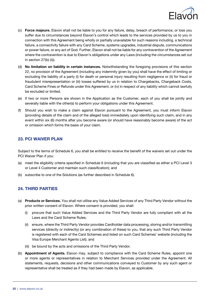

- (c) Force majeure. Elavon shall not be liable to you for any failure, delay, breach of performance, or loss you suffer due to circumstances beyond Elavon's control which leads to the services provided by us to you in connection with this Agreement being wholly or partially unavailable for such reasons including, a technical failure, a connectivity failure with any Card Scheme, systems upgrades, industrial dispute, communications or power failure, or any act of God. Further, Elavon shall not be liable for any contravention of the Agreement where the contravention is due to Elavon's obligations under any Laws (including the circumstances set out in section 27(b) (ii)).
- (d) No limitation on liability in certain instances. Notwithstanding the foregoing provisions of this section 22, no provision of the Agreement (including any indemnity given by you) shall have the effect of limiting or excluding the liability of a party (i) for death or personal injury resulting from negligence or (ii) for fraud or fraudulent misrepresentation or (iii) losses suffered by us in relation to Chargebacks, Chargeback Costs, Card Scheme Fines or Refunds under this Agreement, or (iv) in respect of any liability which cannot lawfully be excluded or limited.
- (e) If two or more Persons are shown in the Application as the Customer, each of you shall be jointly and severally liable with the other(s) to perform your obligations under this Agreement.
- (f) Should you wish to make a claim against Elavon pursuant to the Agreement, you must inform Elavon (providing details of the claim and of the alleged loss) immediately upon identifying such claim, and in any event within six (6) months after you become aware (or should have reasonably become aware) of the act or omission which forms the basis of your claim.

#### 23. PCI WAIVER PLAN

Subject to the terms of Schedule 6, you shall be entitled to receive the benefit of the waivers set out under the PCI Waiver Plan if you:

- (a) meet the eligibility criteria specified in Schedule 6 (including that you are classified as either a PCI Level 3 or Level 4 Customer and maintain such classification); and
- (b) subscribe to one of the Solutions (as further described in Schedule 6).

#### 24. THIRD PARTIES

- (a) Products or Services. You shall not utilise any Value Added Services of any Third Party Vendor without the prior written consent of Elavon. Where consent is provided, you shall:
	- (i) procure that such Value Added Services and the Third Party Vendor are fully compliant with all the Laws and the Card Scheme Rules;
	- (ii) ensure, where the Third Party Vendor provides Cardholder data processing, storing and/or transmitting services (directly or indirectly) (or any combination of these) to you, that any such Third Party Vendor is registered with each of the Card Schemes and listed on such Card Schemes' website (including the Visa Europe Merchant Agents List); and
	- (iii) be bound by the acts and omissions of the Third Party Vendor.
- (b) Appointment of Agents. Elavon may, subject to compliance with the Card Scheme Rules, appoint one or more agents or representatives in relation to Merchant Services provided under the Agreement. All statements, requests, decisions and other communications conveyed to Customer by any such agent or representative shall be treated as if they had been made by Elavon, as applicable.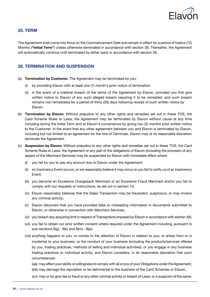

#### 25. TERM

The Agreement shall come into force on the Commencement Date and remain in effect for a period of twelve (12) Months ("Initial Term") unless otherwise terminated in accordance with section 26. Thereafter, the Agreement will automatically continue until terminated by either party in accordance with section 26.

#### 26. TERMINATION AND SUSPENSION

- (a) Termination by Customer. The Agreement may be terminated by you:
	- (i) by providing Elavon with at least one (1) month's prior notice of termination.
	- (ii) in the event of a material breach of the terms of the Agreement by Elavon, provided you first give written notice to Elavon of any such alleged breach requiring it to be remedied, and such breach remains non remediated for a period of thirty (30) days following receipt of such written notice by Elavon.
- (b) Termination by Elavon. Without prejudice to any other rights and remedies set out in these TOS, the Card Scheme Rules or Laws, the Agreement may be terminated by Elavon without cause at any time including during the Initial Term and at Elavon's convenience by giving two (2) months prior written notice to the Customer. In the event that any other agreement between you and Elavon is terminated by Elavon, including but not limited to an agreement for the hire of Terminals, Elavon may at its reasonable discretion terminate the Agreement.
- (c) Suspension by Elavon. Without prejudice to any other rights and remedies set out in these TOS, the Card Scheme Rules or Laws, the Agreement or any part of the obligations of Elavon (including the provision of any aspect of the Merchant Services) may be suspended by Elavon with immediate effect where:
	- (i) you fail by you to pay any amount due to Elavon under the Agreement;
	- (ii) an Insolvency Event occurs, or we reasonably believe it may occur or you fail to notify us of an Insolvency Event;
	- (iii) you become an Excessive Chargeback Merchant or an Excessive Fraud Merchant and/or you fail to comply with our requests or instructions, as set out in section 13;
	- (iv) Elavon reasonably believes that the Sales Transaction may be fraudulent, suspicious, or may involve any criminal activity;
	- (v) Elavon discovers that you have provided false or misleading information in documents submitted to Elavon, or otherwise in connection with Merchant Services;
	- (vi) you breach any acquiring limit in respect of Transactions imposed by Elavon in accordance with section 4(f);
	- (vii) you fail to obtain our prior written consent where required under the Agreement including, pursuant to sub-sections  $8(g) - 8(k)$  and  $8(m) - 8(p)$ ;
	- (viii) anything happens to you; or comes to the attention of Elavon in relation to you; or arises from or is incidental to your business; or the conduct of your business (including the products/services offered by you, trading practices, methods of selling and individual activities); or you engage in any business trading practices or individual activity; and Elavon considers, in its reasonable discretion that such circumstances:
		- (aa) may affect your ability or willingness to comply with all or any of your Obligations under the Agreement;
		- (bb) may damage the reputation or be detrimental to the business of the Card Schemes or Elavon;
		- (cc) may or do give rise to fraud or any other criminal activity or breach of Laws, or a suspicion of the same;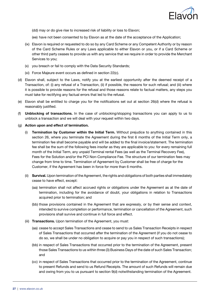

- (dd) may or do give rise to increased risk of liability or loss to Elavon;
- (ee) have not been consented to by Elavon as at the date of the acceptance of the Application;
- (ix) Elavon is required or requested to do so by any Card Scheme or any Competent Authority or by reason of the Card Scheme Rules or any Laws applicable to either Elavon or you, or if a Card Scheme or other third party ceases to provide us with any service that we require in order to provide the Merchant Services to you;
- (x) you breach or fail to comply with the Data Security Standards;
- (xi) Force Majeure event occurs as defined in section 22(c).
- (d) Elavon shall, subject to the Laws, notify you at the earliest opportunity after the deemed receipt of a Transaction, of: (i) any refusal of a Transaction, (ii) if possible, the reasons for such refusal; and (iii) where it is possible to provide reasons for the refusal and those reasons relate to factual matters, any steps you must take for rectifying any factual errors that led to the refusal.
- (e) Elavon shall be entitled to charge you for the notifications set out at section 26(d) where the refusal is reasonably iustified.
- (f) Unblocking of transactions. In the case of unblocking/stopping transactions you can apply to us to unblock a transaction and we will deal with your request within two days.
- (g) Action upon and effect of termination.
	- **Termination by Customer within the Initial Term.** Without prejudice to anything contained in this section 26, where you terminate the Agreement during the first 6 months of the Initial Term only, a termination fee shall become payable and will be added to the final invoice/statement. The termination fee shall be the sum of the following fees insofar as they are applicable to you: for every remaining full month of the Initial Term, any unpaid Terminal rental Fees (as well as the Terminal Recovery Fee), Fees for the Solution and/or the PCI Non-Compliance Fee. The structure of our termination fees may change from time to time. Termination of Agreement by Customer shall be free of charge for the Customer, if the Agreement has been in force for more than 6 months.
	- (ii) Survival. Upon termination of the Agreement, the rights and obligations of both parties shall immediately cease to have effect, except:
		- (aa) termination shall not affect accrued rights or obligations under the Agreement as at the date of termination, including for the avoidance of doubt, your obligations in relation to Transactions acquired prior to termination; and
		- (bb) those provisions contained in the Agreement that are expressly, or by their sense and context, intended to survive completion or performance, termination or cancellation of the Agreement, such provisions shall survive and continue in full force and effect.
	- (iii) Transactions. Upon termination of the Agreement, you must:
		- (aa) cease to accept Sales Transactions and cease to send to us Sales Transaction Receipts in respect of Sales Transactions that occurred after the termination of the Agreement (if you do not cease to do so, we shall be under no obligation to acquire or pay you in respect of such transactions);
		- (bb) in respect of Sales Transactions that occurred prior to the termination of the Agreement, present those Sales Transactions to us within three (3) Business Days of the date of such Sales Transaction; and
		- (cc) in respect of Sales Transactions that occurred prior to the termination of the Agreement, continue to present Refunds and send to us Refund Receipts. The amount of such Refunds will remain due and owing from you to us pursuant to section 9(d) notwithstanding termination of the Agreement.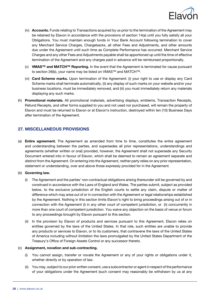

- (iv) **Accounts.** Funds relating to Transactions acquired by us prior to the termination of the Agreement may be retained by Elavon in accordance with the provisions of section 14(a) until you fully satisfy all your Obligations. You must maintain enough funds in Your Bank Account following termination to cover any Merchant Service Charges, Chargebacks, all other Fees and Adjustments, and other amounts due under the Agreement until such time as Complete Performance has occurred. Merchant Service Charges and any other Fees and Adjustments payable shall be apportioned up until the time of effective termination of the Agreement and any charges paid in advance will be reimbursed proportionally.
- (v) VMAS™ and MATCH™ Reporting. In the event that the Agreement is terminated for cause pursuant to section 26(b), your name may be listed on VMAS™ and MATCH™.
- (vi) Card Scheme marks. Upon termination of the Agreement: (i) your right to use or display any Card Scheme marks shall terminate automatically, (ii) any display of such marks on your website and/or your business locations, must be immediately removed, and (iii) you must immediately return any materials displaying any such marks.
- (h) Promotional materials. All promotional materials, advertising displays, emblems, Transaction Receipts, Refund Receipts, and other forms supplied to you and not used nor purchased, will remain the property of Elavon and must be returned to Elavon or at Elavon's instruction, destroyed within ten (10) Business Days after termination of the Agreement.

## 27. MISCELLANEOUS PROVISIONS

(a) Entire agreement. The Agreement as amended from time to time, constitutes the entire agreement and understanding between the parties, and supersedes all prior representations, understandings and agreements (whether written or oral) provided, however, the Agreement shall not supersede any Security Document entered into in favour of Elavon, which shall be deemed to remain an agreement separate and distinct from the Agreement. On entering into the Agreement, neither party relies on any prior representation, statement or understanding, over and above those expressly provided for in the Agreement.

#### (b) Governing law.

- (i) The Agreement and the parties' non-contractual obligations arising thereunder will be governed by and construed in accordance with the Laws of England and Wales. The parties submit, subject as provided below, to the exclusive jurisdiction of the English courts to settle any claim, dispute or matter of difference which may arise out of or in connection with the Agreement or legal relationships established by the Agreement. Nothing in this section limits Elavon's right to bring proceedings arising out of or in connection with the Agreement (i) in any other court of competent jurisdiction, or (ii) concurrently in more than one court of competent jurisdiction. You waive any objection on the basis of venue or forum to any proceedings brought by Elavon pursuant to this section.
- (ii) In the provision by Elavon of products and services pursuant to this Agreement, Elavon relies on entities governed by the laws of the United States. In that role, such entities are unable to provide any products or services to Elavon, or to its customers, that contravene the laws of the United States of America including without limitation the laws promulgated by the United States Department of the Treasury's Office of Foreign Assets Control or any successor thereto.

#### (c) Assignment, novation and sub-contracting.

- (i) You cannot assign, transfer or novate the Agreement or any of your rights or obligations under it, whether directly or by operation of law.
- (ii) You may, subject to our prior written consent, use a subcontractor or agent in respect of the performance of your obligations under the Agreement (such consent may reasonably be withdrawn by us at any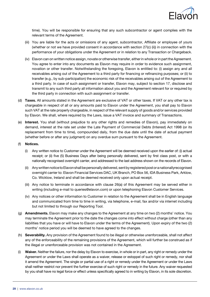

time). You will be responsible for ensuring that any such subcontractor or agent complies with the relevant terms of the Agreement.

- (iii) You are liable for the acts or omissions of any agent, subcontractor, Affiliate or employee of yours (whether or not we have provided consent in accordance with section 27(c) (ii)) in connection with the performance of your obligations under the Agreement or in relation to any Transaction or Chargeback.
- (iv) Elavon can on written notice assign, novate or otherwise transfer, either in whole or in part the Agreement. You agree to enter into any documents as Elavon may require in order to evidence such assignment, novation or other transfer. Notwithstanding the foregoing, Elavon is entitled to: (i) assign any and all receivables arising out of the Agreement to a third party for financing or refinancing purposes; or (ii) to transfer (e.g., by sub-participation) the economic risk of the receivables arising out of the Agreement to a third party. In case of such assignment or transfer, Elavon may, subject to section 17, disclose and transmit to any such third party all information about you and the Agreement relevant for or required by the third party in connection with such assignment or transfer.
- (d) Taxes. All amounts stated in the Agreement are exclusive of VAT or other taxes. If VAT or any other tax is chargeable in respect of all or any amounts paid to Elavon under the Agreement, you shall pay to Elavon such VAT at the rate properly chargeable, in respect of the relevant supply of goods and/or services provided by Elavon. We shall, where required by the Laws, issue a VAT invoice and summary of Transactions.
- (e) Interest. You shall (without prejudice to any other rights and remedies of Elavon), pay immediately on demand, interest at the rate set under the Late Payment of Commercial Debts (Interest) Act 1998 (or its replacement from time to time), compounded daily, from the due date until the date of actual payment (whether before or after any judgment) on any overdue sum pursuant to the Agreement.

#### (f) Notices.

- (i) Any written notice to Customer under the Agreement will be deemed received upon the earlier of: (i) actual receipt; or (ii) five (5) Business Days after being personally delivered, sent by first class post, or with a nationally recognised overnight carrier, and addressed to the last address shown on the records of Elavon.
- (ii) Any written notice to Elavon shall be personally delivered, sent by registered post or a nationally recognised overnight carrier to: Elavon Financial Services DAC, UK Branch, PO Box 56, IDA Business Park, Arklow, Co. Wicklow, Ireland and shall be deemed received only upon actual receipt.
- (iii) Any notice to terminate in accordance with clause 26(a) of this Agreement may be served either in writing (including e-mail to queries@elavon.com) or upon telephoning Elavon Customer Services.
- (iv) Any notices or other information to Customer in relation to the Agreement shall be in English language and communicated from time to time in writing, via telephone, e-mail, fax and/or via internet including but not limited to through our Reporting Tool.
- (g) Amendments. Elavon may make any changes to the Agreement at any time on two (2) months' notice. You may terminate the Agreement prior to the date the changes come into effect without charge (other than any liabilities that you have or will have to Elavon under the terms of the Agreement). Upon expiry of the two (2) months' notice period you will be deemed to have agreed to the changes.
- (h) Severability. Any provision of the Agreement found to be illegal or otherwise unenforceable, shall not affect any of the enforceability of the remaining provisions of the Agreement, which will further be construed as if the illegal or unenforceable provision was not contained in the Agreement.
- (i) Waiver. Neither the failure, nor the delay by Elavon to exercise, in whole or in part, any right or remedy under the Agreement or under the Laws shall operate as a waiver, release or estoppel of such right or remedy, nor shall it amend the Agreement. The single or partial use of a right or remedy under the Agreement or under the Laws shall neither restrict nor prevent the further exercise of such right or remedy in the future. Any waiver requested by you shall have no legal force or effect unless specifically agreed to in writing by Elavon, in its sole discretion.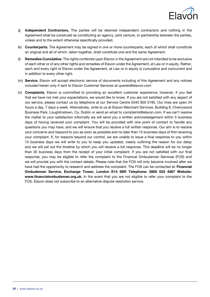

- (i) Independent Contractors. The parties will be deemed independent contractors and nothing in the Agreement shall be construed as constituting an agency, joint venture, or partnership between the parties, unless and to the extent otherwise specifically provided.
- (k) **Counterparts.** The Agreement may be signed in one or more counterparts, each of which shall constitute an original and all of which, taken together, shall constitute one and the same Agreement.
- (I) Remedies Cumulative. The rights conferred upon Elavon in the Agreement are not intended to be exclusive of each other or of any other rights and remedies of Elavon under the Agreement, at Law or in equity. Rather, each and every right of Elavon under the Agreement, at Law or in equity is cumulative and concurrent and in addition to every other right.
- (m) Service. Elavon will accept electronic service of documents including of this Agreement and any notices included herein only if sent to Elavon Customer Services at queries@elavon.com
- (n) Complaints. Elavon is committed to providing an excellent customer experience; however, if you feel that we have not met your expectations, we would like to know. If you are not satisfied with any aspect of our service, please contact us by telephone at our Service Centre 0345 850 0195. Our lines are open 24 hours a day, 7 days a week. Alternatively, write to us at Elavon Merchant Services, Building 8, Cherrywood Business Park, Loughlinstown, Co. Dublin or send an email to complaints@elavon.com. If we can't resolve the matter to your satisfaction informally we will send you a written acknowledgement within 5 business days of having received your complaint. You will be provided with one point of contact to handle any questions you may have, and we will ensure that you receive a full written response. Our aim is to resolve your concerns and respond to you as soon as possible and no later than 15 business days of first receiving your complaint. If, for reasons beyond our control, we are unable to issue a final response to you within 15 business days we will write to you to keep you updated, clearly outlining the reason for our delay and we will set out the timeline by which you will receive a full response. This deadline will be no longer than 35 business days from the receipt of your initial complaint. If you are not satisfied with our final response, you may be eligible to refer the complaint to the Financial Ombudsman Services (FOS) and we will provide you with the contact details. Please note that the FOS will only become involved after we have had the opportunity to research and address the complaint. The FOS can be contacted at: Financial Ombudsman Service, Exchange Tower, London E14 9SR Telephone: 0800 023 4567 Website: www.financialombudsman.org.uk. In the event that you are not eligible to refer your complaint to the FOS, Elavon does not subscribe to an alternative dispute resolution service.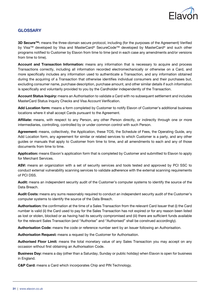

## **GLOSSARY**

3D Secure<sup>™</sup>: means the three-domain secure protocol, including (for the purposes of the Agreement) Verified by Visa™ developed by Visa and MasterCard® SecureCode™ developed by MasterCard® and such other programs notified to Customer by Elavon from time to time (and in each case any amendments and/or versions from time to time).

Account and Transaction Information: means any information that is necessary to acquire and process Transactions correctly, including all information recorded electromechanically or otherwise on a Card, and more specifically includes any information used to authenticate a Transaction, and any information obtained during the acquiring of a Transaction that otherwise identifies individual consumers and their purchases but, excluding consumer name, purchase description, purchase amount, and other similar details if such information is specifically and voluntarily provided to you by the Cardholder independently of the Transaction.

Account Status Inquiry: means an Authorisation to validate a Card with no subsequent settlement and includes MasterCard Status Inquiry Checks and Visa Account Verification.

Add Location form: means a form completed by Customer to notify Elavon of Customer's additional business locations where it shall accept Cards pursuant to the Agreement.

Affiliate: means, with respect to any Person, any other Person directly, or indirectly through one or more intermediaries, controlling, controlled by or under common control with such Person.

Agreement: means, collectively, the Application, these TOS, the Schedule of Fees, the Operating Guide, any Add Location form, any agreement for similar or related services to which Customer is a party, and any other guides or manuals that apply to Customer from time to time, and all amendments to each and any of those documents from time to time.

Application: means Elavon's application form that is completed by Customer and submitted to Elavon to apply for Merchant Services.

ASV: means an organization with a set of security services and tools tested and approved by PCI SSC to conduct external vulnerability scanning services to validate adherence with the external scanning requirements of PCI DSS.

Audit: means an independent security audit of the Customer's computer systems to identify the source of the Data Breach.

Audit Costs: means any sums reasonably required to conduct an independent security audit of the Customer's computer systems to identify the source of the Data Breach.

Authorisation: the confirmation at the time of a Sales Transaction from the relevant Card Issuer that (i) the Card number is valid (ii) the Card used to pay for the Sales Transaction has not expired or for any reason been listed as lost or stolen, blocked or as having had its security compromised and (iii) there are sufficient funds available for the relevant Sales Transaction (and "Authorise" and "Authorised" shall be construed accordingly).

Authorisation Code: means the code or reference number sent by an Issuer following an Authorisation.

Authorisation Request: means a request by the Customer for Authorisation.

Authorised Floor Limit: means the total monetary value of any Sales Transaction you may accept on any occasion without first obtaining an Authorisation Code.

**Business Day:** means a day (other than a Saturday, Sunday or public holiday) when Elavon is open for business in England.

C&P Card: means a Card which incorporates Chip and PIN Technology.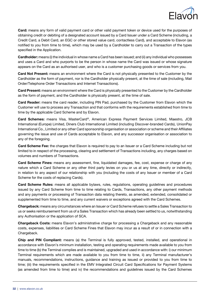

Card: means any form of valid payment card or other valid payment token or device used for the purposes of obtaining credit or debiting of a designated account issued by a Card Issuer under a Card Scheme (including, a Credit Card, a Debit Card, an EGC or other stored value card, contactless Card), and acceptable to Elavon (as notified to you from time to time), which may be used by a Cardholder to carry out a Transaction of the types specified in the Application.

Cardholder: means (i) the individual in whose name a Card has been issued; and (ii) any individual who possesses and uses a Card and who purports to be the person in whose name the Card was issued or whose signature appears on the Card as an authorised user, and who is a customer purchasing goods or services from you.

Card Not Present: means an environment where the Card is not physically presented to the Customer by the Cardholder as the form of payment, nor is the Cardholder physically present, at the time of sale (including, Mail Order/Telephone Order Transactions and Internet Transactions).

Card Present: means an environment where the Card is physically presented to the Customer by the Cardholder as the form of payment, and the Cardholder is physically present, at the time of sale.

Card Reader: means the card reader, including PIN Pad, purchased by the Customer from Elavon which the Customer will use to process any Transaction and that conforms with the requirements established from time to time by the applicable Card Scheme and by Elavon.

Card Schemes: means Visa, MasterCard®, American Express Payment Services Limited, Maestro, JCB International (Europe) Limited, Diners Club International Limited (including Discover-branded Cards), UnionPay International Co., Limited or any other Card sponsorship organisation or association or scheme and their Affiliates governing the issue and use of Cards acceptable to Elavon, and any successor organisation or association to any of the foregoing.

Card Scheme Fee: the charges that Elavon is required to pay to an Issuer or a Card Scheme including but not limited to in respect of the processing, clearing and settlement of Transactions including, any charges based on volumes and numbers of Transactions.

Card Scheme Fines: means any assessment, fine, liquidated damages, fee, cost, expense or charge of any nature which a Card Scheme or any other third party levies on you or us at any time, directly or indirectly, in relation to any aspect of our relationship with you (including the costs of any Issuer or member of a Card Scheme for the costs of replacing Cards).

Card Scheme Rules: means all applicable bylaws, rules, regulations, operating guidelines and procedures issued by any Card Scheme from time to time relating to Cards, Transactions, any other payment methods and any payments or processing of Transaction data relating thereto, as amended, extended, consolidated or supplemented from time to time, and any current waivers or exceptions agreed with the Card Schemes.

Chargeback: means any circumstances where an Issuer or Card Scheme refuses to settle a Sales Transaction to us or seeks reimbursement from us of a Sales Transaction which has already been settled to us, notwithstanding any Authorisation or the application of SCA.

Chargeback Costs: means Elavon's administrative charge for processing a Chargeback and any reasonable costs, expenses, liabilities or Card Scheme Fines that Elavon may incur as a result of or in connection with a Chargeback.

Chip and PIN Compliant: means (a) the Terminal is fully approved, tested, installed, and operational in accordance with Elavon's minimum installation, testing and operating requirements made available to you from time to time (b) the Terminal complies and is maintained, upgraded and used in accordance with: i) our minimum Terminal requirements which are made available to you from time to time, ii) any Terminal manufacturer's manuals, recommendations, instructions, guidance and training as issued or provided to you from time to time; (iii) the requirements specified in the EMV Integrated Circuit Card Specifications for Payment Systems (as amended from time to time) and iv) the recommendations and guidelines issued by the Card Schemes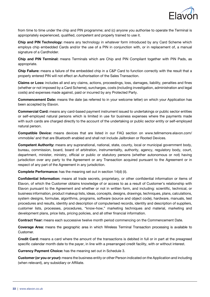

from time to time under the chip and PIN programme; and (c) anyone you authorise to operate the Terminal is appropriately experienced, qualified, competent and properly trained to use it.

Chip and PIN Technology: means any technology in whatever form introduced by any Card Scheme which employs chip embedded Cards and/or the use of a PIN in conjunction with, or in replacement of, a manual signature of a Cardholder.

Chip and PIN Terminal: means Terminals which are Chip and PIN Compliant together with PIN Pads, as appropriate.

Chip Failure: means a failure of the embedded chip in a C&P Card to function correctly with the result that a properly entered PIN will not effect an Authorisation of the Sales Transaction.

Claims or Loss: includes all and any claims, actions, proceedings, loss, damages, liability, penalties and fines (whether or not imposed by a Card Scheme), surcharges, costs (including investigation, administration and legal costs) and expenses made against, paid or incurred by any Protected Party.

Commencement Date: means the date (as referred to in your welcome letter) on which your Application has been accepted by Elavon.

Commercial Card: means any card-based payment instrument issued to undertakings or public sector entities or self-employed natural persons which is limited in use for business expenses where the payments made with such cards are charged directly to the account of the undertaking or public sector entity or self-employed natural person.

Compatible Device: means devices that are listed in our FAQ section on www.tellmemore.elavon.com/ vmmobile/ and that are Bluetooth enabled and shall not include Jailbroken or Rooted Devices.

Competent Authority: means any supranational, national, state, county, local or municipal government body, bureau, commission, board, board of arbitration, instrumentality, authority, agency, regulatory body, court, department, minister, ministry, official or public or statutory persons (whether autonomous or not) having jurisdiction over any party to the Agreement or any Transaction acquired pursuant to the Agreement or in respect of any part of the Agreement in any jurisdiction.

Complete Performance: has the meaning set out in section 14(d) (ii).

Confidential Information: means all trade secrets, proprietary, or other confidential information or items of Elavon, of which the Customer obtains knowledge of or access to as a result of Customer's relationship with Elavon pursuant to the Agreement and whether or not in written form, and including: scientific, technical, or business information, product makeup lists, ideas, concepts, designs, drawings, techniques, plans, calculations, system designs, formulae, algorithms, programs, software (source and object code), hardware, manuals, test procedures and results, identity and description of computerised records, identity and description of suppliers, customer lists, processes, procedures, "know-how," marketing techniques and material, marketing and development plans, price lists, pricing policies, and all other financial information.

Contract Year: means each successive twelve month period commencing on the Commencement Date.

Coverage Area: means the geographic area in which Wireless Terminal Transaction processing is available to Customer.

Credit Card: means a card where the amount of the transactions is debited in full or in part at the preagreed specific calendar month date to the payer, in line with a prearranged credit facility, with or without interest.

Currency Payment Choice: has the meaning set out in Schedule 3.

Customer (or you or your): means the business entity or other Person indicated on the Application and including (when relevant), any subsidiary or Affiliate.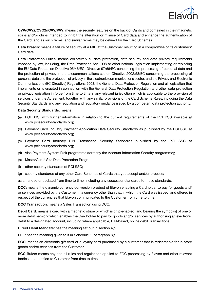

CVV/CVV2/CVC2/iCVV/PVV: means the security features on the back of Cards and contained in their magnetic strips and/or chips intended to inhibit the alteration or misuse of Card data and enhance the authentication of the Card, and as such terms, and similar terms may be defined by the Card Schemes.

Data Breach: means a failure of security at a MID at the Customer resulting in a compromise of its customers' Card data.

Data Protection Rules: means collectively all data protection, data security and data privacy requirements imposed by law, including, the Data Protection Act 1998 or other national legislation implementing or replacing the EU Data Protection Directive 95/46/EC, Directive 97/66/EC concerning the processing of personal data and the protection of privacy in the telecommunications sector, Directive 2002/58/EC concerning the processing of personal data and the protection of privacy in the electronic communications sector, and the Privacy and Electronic Communications (EC Directive) Regulations 2003, the General Data Protection Regulation and all legislation that implements or is enacted in connection with the General Data Protection Regulation and other data protection or privacy legislation in force from time to time in any relevant jurisdiction which is applicable to the provision of services under the Agreement, together with any similar provisions of the Card Scheme Rules, including the Data Security Standards and any regulation and regulatory guidance issued by a competent data protection authority.

#### Data Security Standards: means:

- (a) PCI DSS, with further information in relation to the current requirements of the PCI DSS available at www.pcisecuritystandards.org;
- (b) Payment Card Industry Payment Application Data Security Standards as published by the PCI SSC at www.pcisecuritystandards.org;
- (c) Payment Card Industry PIN Transaction Security Standards published by the PCI SSC at www.pcisecuritystandards.org;
- (d) Visa Payment System Risk programme (formerly the Account Information Security programme);
- (e) MasterCard® Site Data Protection Program;
- (f) other security standards of PCI SSC;
- (g) security standards of any other Card Schemes of Cards that you accept and/or process;

as amended or updated from time to time, including any successor standards to those standards.

DCC: means the dynamic currency conversion product of Elavon enabling a Cardholder to pay for goods and/ or services provided by the Customer in a currency other than that in which the Card was issued, and offered in respect of the currencies that Elavon communicates to the Customer from time to time.

DCC Transaction: means a Sales Transaction using DCC.

Debit Card: means a card with a magnetic stripe or which is chip-enabled, and bearing the symbol(s) of one or more debit network which enables the Cardholder to pay for goods and/or services by authorising an electronic debit to a designated account, including where applicable, PIN-based, online debit Transactions.

Direct Debit Mandate: has the meaning set out in section 4(c).

EEE: has the meaning given to it in Schedule 1, paragraph 8(a).

EGC: means an electronic gift card or a loyalty card purchased by a customer that is redeemable for in-store goods and/or services from the Customer.

EGC Rules: means any and all rules and regulations applied to EGC processing by Elavon and other relevant bodies, and notified to Customer from time to time.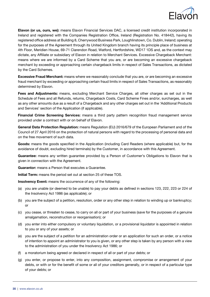

Elavon (or us, ours, we): means Elavon Financial Services DAC, a licensed credit institution incorporated in Ireland and registered with the Companies Registration Office, Ireland (Registration No. 418442), having its registered office address at Building 8, Cherrywood Business Park, Loughlinstown, Co. Dublin, Ireland; operating for the purposes of the Agreement through its United Kingdom branch having its principle place of business at 4th Floor, Meridien House, 69-71 Clarendon Road, Watford, Hertfordshire, WD17 1DS and, as the context may dictate, any Affiliate or subsidiary of Elavon in relation to Merchant Services. Excessive Chargeback Merchant: means where we are informed by a Card Scheme that you are, or are becoming an excessive chargeback merchant by exceeding or approaching certain chargeback limits in respect of Sales Transactions, as dictated by the Card Schemes.

**Excessive Fraud Merchant:** means where we reasonably conclude that you are, or are becoming an excessive fraud merchant by exceeding or approaching certain fraud limits in respect of Sales Transactions, as reasonably determined by Elavon.

Fees and Adjustments: means, excluding Merchant Service Charges, all other charges as set out in the Schedule of Fees and all Refunds, returns, Chargeback Costs, Card Scheme Fines and/or, surcharges, as well as any other amounts due as a result of a Chargeback and any other charges set out in the 'Additional Products and Services' section of the Application (if applicable).

Financial Crime Screening Services: means a third party pattern recognition fraud management service provided under a contract with or on behalf of Elavon.

General Data Protection Regulation: means Regulation (EU) 2016/679 of the European Parliament and of the Council of 27 April 2016 on the protection of natural persons with regard to the processing of personal data and on the free movement of such data.

Goods: means the goods specified in the Application (including Card Readers (where applicable) but, for the avoidance of doubt, excluding hired terminals) by the Customer, in accordance with this Agreement.

Guarantee: means any written guarantee provided by a Person of Customer's Obligations to Elavon that is given in connection with the Agreement.

Guarantor: means a Person that executes a Guarantee.

Initial Term: means the period set out at section 25 of these TOS.

Insolvency Event: means the occurrence of any of the following:

- (a) you are unable (or deemed to be unable) to pay your debts as defined in sections 123, 222, 223 or 224 of the Insolvency Act 1986 (as applicable); or
- (b) you are the subject of a petition, resolution, order or any other step in relation to winding up or bankruptcy; or
- (c) you cease, or threaten to cease, to carry on all or part of your business (save for the purposes of a genuine amalgamation, reconstruction or reorganisation); or
- (d) you enter into either compulsory or voluntary liquidation, or a provisional liquidator is appointed in relation to you or any of your assets; or
- (e) you are the subject of a petition for an administration order or an application for such an order, or a notice of intention to appoint an administrator to you is given, or any other step is taken by any person with a view to the administration of you under the Insolvency Act 1986; or
- (f) a moratorium being agreed or declared in respect of all or part of your debts; or
- (g) you enter, or propose to enter, into any composition, assignment, compromise or arrangement of your debts, or with or for the benefit of some or all of your creditors generally, or in respect of a particular type of your debts; or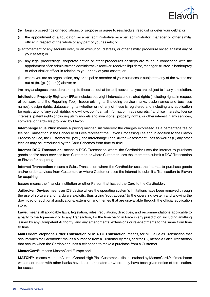

- (h) begin proceedings or negotiations, or propose or agree to reschedule, readjust or defer your debts; or
- (i) the appointment of a liquidator, receiver, administrative receiver, administrator, manager or other similar officer in respect of the whole or any part of your assets; or
- (j) enforcement of any security over, or an execution, distress, or other similar procedure levied against any of your assets; or
- (k) any legal proceedings, corporate action or other procedures or steps are taken in connection with the appointment of an administrator, administrative receiver, receiver, liquidator, manager, trustee in bankruptcy or other similar officer in relation to you or any of your assets; or
- (I) where you are an organisation, any principal or member of your business is subject to any of the events set out at (b), (g), (h), or (k) above; or
- (m) any analogous procedure or step to those set out at (a) to (I) above that you are subject to in any jurisdiction.

Intellectual Property Rights or IPRs: includes copyright interests and related rights (including rights in respect of software and the Reporting Tool), trademark rights (including service marks, trade names and business names), design rights, database rights (whether or not any of these is registered and including any application for registration of any such rights), know-how, confidential information, trade secrets, franchise interests, license interests, patent rights (including utility models and inventions), property rights, or other interest in any services, software, or hardware provided by Elavon.

Interchange Plus Plus: means a pricing mechanism whereby the charges expressed as a percentage fee or fee per Transaction in the Schedule of Fees represent the Elavon Processing Fee and in addition to the Elavon Processing Fee, the Customer will pay (i) the Interchange Fees, (ii) the Assessment Fees as well as (iii) any other fees as may be introduced by the Card Schemes from time to time.

Internet DCC Transaction: means a DCC Transaction where the Cardholder uses the internet to purchase goods and/or order services from Customer, or where Customer uses the internet to submit a DCC Transaction to Elavon for acquiring.

Internet Transaction: means a Sales Transaction where the Cardholder uses the internet to purchase goods and/or order services from Customer, or where Customer uses the internet to submit a Transaction to Elavon for acquiring.

Issuer: means the financial institution or other Person that issued the Card to the Cardholder.

Jailbroken Device: means an iOS device where the operating system's limitations have been removed through the use of software and hardware exploits, thus giving 'root access' to the operating system and allowing the download of additional applications, extension and themes that are unavailable through the official application store.

Laws: means all applicable laws, legislation, rules, regulations, directives, and recommendations applicable to a party to the Agreement or to any Transaction, for the time being in force in any jurisdiction, including anything issued by any Competent Authority, and any amendments, extensions or re-enactments to the same from time to time.

Mail Order/Telephone Order Transaction or MO/TO Transaction: means, for MO, a Sales Transaction that occurs when the Cardholder makes a purchase from a Customer by mail, and for TO, means a Sales Transaction that occurs when the Cardholder uses a telephone to make a purchase from a Customer.

MasterCard®: means MasterCard Europe sprl.

MATCH™: means Member Alert to Control High Risk Customer, a file maintained by MasterCard® of merchants whose contracts with other banks have been terminated or where they have been given notice of termination, for cause.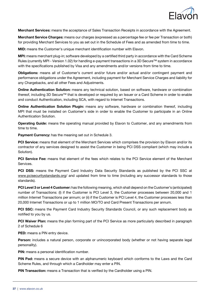

Merchant Services: means the acceptance of Sales Transaction Receipts in accordance with the Agreement.

Merchant Service Charges: means our charges (expressed as a percentage fee or fee per Transaction or both) for providing Merchant Services to you as set out in the Schedule of Fees and as amended from time to time.

MID: means the Customer's unique merchant identification number with Elavon.

MPI: means merchant plug-in; software developed by a certified third party in accordance with the Card Scheme Rules (currently MPI - Version 1.02) for handling e-payment transactions in a 3D Secure™ system in accordance with the specifications published by Visa and any amendments and/or versions from time to time.

Obligations: means all of Customer's current and/or future and/or actual and/or contingent payment and performance obligations under the Agreement, including payment for Merchant Service Charges and liability for any Chargebacks, and all other Fees and Adjustments.

Online Authentication Solution: means any technical solution, based on software, hardware or combination thereof, including 3D Secure™ that is developed or required by an Issuer or a Card Scheme in order to enable and conduct Authentication, including SCA, with regard to Internet Transactions.

Online Authentication Solution Plugin: means any software, hardware or combination thereof, including MPI that must be installed on Customer's side in order to enable the Customer to participate in an Online Authentication Solution.

Operating Guide: means the operating manual provided by Elavon to Customer, and any amendments from time to time.

Payment Currency: has the meaning set out in Schedule 3.

PCI Service: means that element of the Merchant Services which comprises the provision by Elavon and/or its contractor of any services designed to assist the Customer in being PCI DSS compliant (which may include a Solution).

PCI Service Fee: means that element of the fees which relates to the PCI Service element of the Merchant Services.

**PCI DSS:** means the Payment Card Industry Data Security Standards as published by the PCI SSC at www.pcisecuritystandards.org/ and updated from time to time (including any successor standards to those standards).

PCI Level 3 or Level 4 Customer: has the following meaning, which shall depend on the Customer's (anticipated) number of Transactions: (I) if the Customer is PCI Level 3, the Customer processes between 20,000 and 1 million Internet Transactions per annum; or (ii) if the Customer is PCI Level 4, the Customer processes less than 20,000 Internet Transactions or up to 1 million MO/TO and Card Present Transactions per annum.

PCI SSC: means the Payment Card Industry Security Standards Council, or any such replacement body as notified to you by us.

**PCI Waiver Plan:** means the plan forming part of the PCI Service as more particularly described in paragraph 2 of Schedule 6

PED: means a PIN entry device.

Person: includes a natural person, corporate or unincorporated body (whether or not having separate legal personality).

PIN: means a personal identification number.

PIN Pad: means a secure device with an alphanumeric keyboard which conforms to the Laws and the Card Scheme Rules, and through which a Cardholder may enter a PIN.

PIN Transaction: means a Transaction that is verified by the Cardholder using a PIN.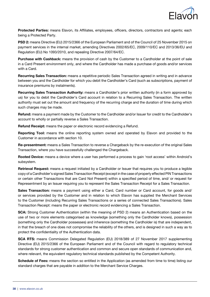

Protected Parties: means Elavon, its Affiliates, employees, officers, directors, contractors and agents; each being a Protected Party.

PSD 2: means Directive (EU) 2015/2366 of the European Parliament and of the Council of 25 November 2015 on payment services in the internal market, amending Directives 2002/65/EC, 2009/110/EC and 2013/36/EU and Regulation (EU) No 1093/2010, and repealing Directive 2007/64/EC.

Purchase with Cashback: means the provision of cash by the Customer to a Cardholder at the point of sale in a Card Present environment only, and where the Cardholder has made a purchase of goods and/or services with a Card.

Recurring Sales Transaction: means a repetitive periodic Sales Transaction agreed in writing and in advance between you and the Cardholder for which you debit the Cardholder's Card (such as subscriptions, payment of insurance premiums by instalments).

Recurring Sales Transaction Authority: means a Cardholder's prior written authority (in a form approved by us) for you to debit the Cardholder's Card account in relation to a Recurring Sales Transaction. The written authority must set out the amount and frequency of the recurring charge and the duration of time during which such charges may be made.

Refund: means a payment made by the Customer to the Cardholder and/or Issuer for credit to the Cardholder's account to wholly or partially reverse a Sales Transaction.

Refund Receipt: means the paper or electronic record evidencing a Refund.

Reporting Tool: means the online reporting system owned and operated by Elavon and provided to the Customer in accordance with section 10.

Re-presentment: means a Sales Transaction to reverse a Chargeback by the re-execution of the original Sales Transaction, where you have successfully challenged the Chargeback.

Rooted Device: means a device where a user has performed a process to gain 'root access' within Android's subsystem.

Retrieval Request: means a request initiated by a Cardholder or Issuer that requires you to produce a legible copy of a Cardholder's signed Sales Transaction Receipt (except in the case of properly effected PIN Transactions or certain other Transactions that are Card Not Present) within a specified period of time, and/ or request for Representment by an Issuer requiring you to represent the Sales Transaction Receipt for a Sales Transaction.

Sales Transaction: means a payment using either a Card, Card number or Card account, for goods and/ or services provided by the Customer and in relation to which Elavon has supplied the Merchant Services to the Customer (including Recurring Sales Transactions or a series of connected Sales Transactions). Sales Transaction Receipt: means the paper or electronic record evidencing a Sales Transaction.

SCA: Strong Customer Authentication (within the meaning of PSD 2) means an Authentication based on the use of two or more elements categorised as knowledge (something only the Cardholder knows), possession (something only the Cardholder possesses) and inherence (something the Cardholder is) that are independent, in that the breach of one does not compromise the reliability of the others, and is designed in such a way as to protect the confidentiality of the Authentication data.

SCA RTS: means Commission Delegated Regulation (EU) 2018/389 of 27 November 2017 supplementing Directive (EU) 2015/2366 of the European Parliament and of the Council with regard to regulatory technical standards for strong customer authentication and common and secure open standards of communication and, where relevant, the equivalent regulatory technical standards published by the Competent Authority.

Schedule of Fees: means the section so entitled in the Application (as amended from time to time) listing our standard charges that are payable in addition to the Merchant Service Charges.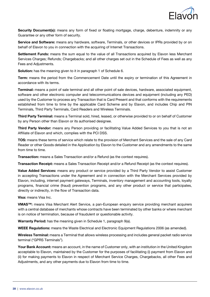

Security Document(s): means any form of fixed or floating mortgage, charge, debenture, indemnity or any Guarantee or any other form of security.

Service and Software: means any hardware, software, Terminals, or other devices or IPRs provided by or on behalf of Elavon to you in connection with the acquiring of Internet Transactions.

Settlement Funds: means the sum equal to the value of all Transactions acquired by Elavon less Merchant Services Charges; Refunds; Chargebacks; and all other charges set out in the Schedule of Fees as well as any Fees and Adjustments.

Solution: has the meaning given to it in paragraph 1 of Schedule 6.

Term: means the period from the Commencement Date until the expiry or termination of this Agreement in accordance with its terms.

Terminal: means a point of sale terminal and all other point of sale devices, hardware, associated equipment, software and other electronic computer and telecommunications devices and equipment (including any PED) used by the Customer to process any Transaction that is Card Present and that conforms with the requirements established from time to time by the applicable Card Scheme and by Elavon, and includes Chip and PIN Terminals, Third Party Terminals, Card Readers and Wireless Terminals.

Third Party Terminal: means a Terminal sold, hired, leased, or otherwise provided to or on behalf of Customer by any Person other than Elavon or its authorised designee.

Third Party Vendor: means any Person providing or facilitating Value Added Services to you that is not an Affiliate of Elavon and which, complies with the PCI DSS.

TOS: means these terms of service which relate to the provision of Merchant Services and the sale of any Card Reader or other Goods detailed in the Application by Elavon to the Customer and any amendments to the same from time to time.

Transaction: means a Sales Transaction and/or a Refund (as the context requires).

Transaction Receipt: means a Sales Transaction Receipt and/or a Refund Receipt (as the context requires).

Value Added Services: means any product or service provided by a Third Party Vendor to assist Customer in accepting Transactions under the Agreement and in connection with the Merchant Services provided by Elavon, including, internet payment gateways, Terminals, inventory management and accounting tools, loyalty programs, financial crime (fraud) prevention programs, and any other product or service that participates, directly or indirectly, in the flow of Transaction data.

Visa: means Visa Inc.

VMAS™: means Visa Merchant Alert Service, a pan-European enquiry service providing merchant acquirers with a central database of merchants whose contracts have been terminated by other banks or where merchant is on notice of termination, because of fraudulent or questionable activity.

Warranty Period: has the meaning given in Schedule 1, paragraph 9(a).

WEEE Regulations: means the Waste Electrical and Electronic Equipment Regulations 2006 (as amended).

Wireless Terminal: means a Terminal that allows wireless processing and includes general packet radio service terminal ("GPRS Terminals").

Your Bank Account: means an account, in the name of Customer only, with an institution in the United Kingdom acceptable to Elavon, maintained by the Customer for the purposes of facilitating (i) payment from Elavon and (ii) for making payments to Elavon in respect of Merchant Service Charges, Chargebacks, all other Fees and Adjustments, and any other payments due to Elavon from time to time.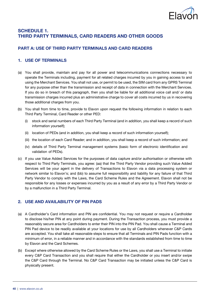

# SCHEDULE 1. THIRD PARTY TERMINALS, CARD READERS AND OTHER GOODS

## PART A: USE OF THIRD PARTY TERMINALS AND CARD READERS

## 1. USE OF TERMINALS

- (a) You shall provide, maintain and pay for all power and telecommunications connections necessary to operate the Terminals including, payment for all related charges incurred by you in gaining access to and using the Merchant Services. You shall not use, or permit to be used, the SIM card from any GPRS Terminal for any purpose other than the transmission and receipt of data in connection with the Merchant Services. If you do so in breach of this paragraph, then you shall be liable for all additional voice call and/ or data transmission charges incurred plus an administrative charge to cover all costs incurred by us in recovering those additional charges from you.
- (b) You shall from time to time, provide to Elavon upon request the following information in relation to each Third Party Terminal, Card Reader or other PED:
	- (i) stock and serial numbers of each Third Party Terminal (and in addition, you shall keep a record of such information yourself);
	- (ii) location of PEDs (and in addition, you shall keep a record of such information yourself);
	- (iii) the location of each Card Reader; and in addition, you shall keep a record of such information; and
	- (iv) details of Third Party Terminal management systems (basic form of electronic identification and validation of PEDs).
- (c) If you use Value Added Services for the purposes of data capture and/or authorisation or otherwise with respect to Third Party Terminals, you agree: (aa) that the Third Party Vendor providing such Value Added Services will be your agent in the delivery of Transactions to Elavon via a data processing system or network similar to Elavon's; and (bb) to assume full responsibility and liability for any failure of that Third Party Vendor to comply with the Laws, the Card Scheme Rules and the Agreement. Elavon shall not be responsible for any losses or expenses incurred by you as a result of any error by a Third Party Vendor or by a malfunction in a Third Party Terminal.

## 2. USE AND AVAILABILITY OF PIN PADS

- (a) A Cardholder's Card information and PIN are confidential. You may not request or require a Cardholder to disclose his/her PIN at any point during payment. During the Transaction process, you must provide a reasonably secure area for Cardholders to enter their PIN into the PIN Pad. You shall cause a Terminal and PIN Pad device to be readily available at your locations for use by all Cardholders whenever C&P Cards are accepted. You shall take all reasonable steps to ensure that all Terminals and PIN Pads function with a minimum of error, in a reliable manner and in accordance with the standards established from time to time by Elavon and the Card Schemes.
- (b) Except where otherwise allowed by the Card Scheme Rules or the Laws, you shall use a Terminal to initiate every C&P Card Transaction and you shall require that either the Cardholder or you insert and/or swipe the C&P Card through the Terminal. No C&P Card Transaction may be initiated unless the C&P Card is physically present.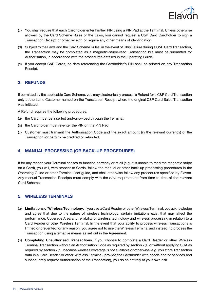

- (c) You shall require that each Cardholder enter his/her PIN using a PIN Pad at the Terminal. Unless otherwise allowed by the Card Scheme Rules or the Laws, you cannot request a C&P Card Cardholder to sign a Transaction Receipt or other receipt, or require any other means of identification.
- (d) Subject to the Laws and the Card Scheme Rules, in the event of Chip Failure during a C&P Card Transaction, the Transaction may be completed as a magnetic-stripe-read Transaction but must be submitted for Authorisation, in accordance with the procedures detailed in the Operating Guide.
- (e) If you accept C&P Cards, no data referencing the Cardholder's PIN shall be printed on any Transaction Receipt.

#### 3. REFUNDS

If permitted by the applicable Card Scheme, you may electronically process a Refund for a C&P Card Transaction only at the same Customer named on the Transaction Receipt where the original C&P Card Sales Transaction was initiated.

A Refund requires the following procedures:

- (a) the Card must be inserted and/or swiped through the Terminal:
- (b) the Cardholder must re-enter the PIN on the PIN Pad;
- (c) Customer must transmit the Authorisation Code and the exact amount (in the relevant currency) of the Transaction (or part) to be credited or refunded.

#### 4. MANUAL PROCESSING (OR BACK-UP PROCEDURES)

If for any reason your Terminal ceases to function correctly or at all (e.g. it is unable to read the magnetic stripe on a Card), you will, with respect to Cards, follow the manual or other back-up processing procedures in the Operating Guide or other Terminal user guide, and shall otherwise follow any procedures specified by Elavon. Any manual Transaction Receipts must comply with the data requirements from time to time of the relevant Card Scheme.

#### 5. WIRELESS TERMINALS

- (a) Limitations of Wireless Technology. If you use a Card Reader or other Wireless Terminal, you acknowledge and agree that due to the nature of wireless technology, certain limitations exist that may affect the performance, Coverage Area and reliability of wireless technology and wireless processing in relation to a Card Reader or other Wireless Terminal. In the event that your ability to process wireless Transactions is limited or prevented for any reason, you agree not to use the Wireless Terminal and instead, to process the Transaction using alternative means as set out in the Agreement.
- (b) Completing Unauthorised Transactions. If you choose to complete a Card Reader or other Wireless Terminal Transaction without an Authorisation Code as required by section 7(a) or without applying SCA as required by section 7(h), because wireless coverage is not available or otherwise (e.g. you store Transaction data in a Card Reader or other Wireless Terminal, provide the Cardholder with goods and/or services and subsequently request Authorisation of the Transaction), you do so entirely at your own risk.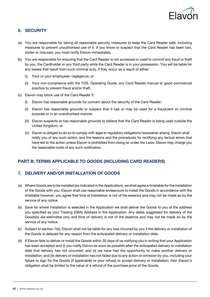

## 6. SECURITY

- (a) You are responsible for taking all reasonable security measures to keep the Card Reader safe, including measures to prevent unauthorised use of it. If you know or suspect that the Card Reader has been lost, stolen or misused, you must notify Elavon immediately.
- (b) You are responsible for ensuring that the Card Reader is not accessed or used to commit any fraud or theft by you, the Cardholder or any third party while the Card Reader is in your possession. You will be liable for any losses that result from such criminal acts, if they occur as a result of either:
	- (i) Your or your employees' negligence; or
	- (ii) Your non-compliance with the TOS, Operating Guide, any Card Reader manual or good commercial practice to prevent fraud and/or theft.
- (c) Elavon may block use of the Card Reader if:
	- (i) Elavon has reasonable grounds for concern about the security of the Card Reader;
	- (ii) Elavon has reasonable grounds to suspect that it has or may be used for a fraudulent or criminal purpose or in an unauthorised manner;
	- (iii) Elavon suspects or has reasonable grounds to believe that the Card Reader is being used outside the United Kingdom; or
	- (iv) Elavon is obliged to do so to comply with legal or regulatory obligations howsoever arising. Elavon shall notify you of any such action, and the reasons and the procedures for rectifying any factual errors that have led to the action unless Elavon is prohibited from doing so under the Laws. Elavon may charge you the reasonable costs of any such notification.

#### PART B: TERMS APPLICABLE TO GOODS (INCLUDING CARD READERS)

## 7. DELIVERY AND/OR INSTALLATION OF GOODS

- (a) Where Goods are to be installed (as indicated in the Application), we shall agree a timetable for the installation of the Goods with you. Elavon shall use reasonable endeavours to install the Goods in accordance with the timetable however, you agree that time of installation is not of the essence and may not be made so by the service of any notice.
- (b) Save for where installation is selected in the Application we shall deliver the Goods to you at the address you specified as your Trading (DBA) Address in the Application. Any dates suggested for delivery of the Goods(s) are estimates only and time of delivery is not of the essence and may not be made so by the service of any notice.
- (c) Subject to section 7(d), Elavon shall not be liable for any loss incurred by you if the delivery or installation of the Goods is delayed for any reason from the anticipated delivery or installation date.
- (d) If Elavon fails to deliver or install the Goods within 30 days of us notifying you in writing that your Application has been accepted and (i) you notify Elavon as soon as possible after the anticipated delivery or installation date that delivery has not occurred; and (ii) we have had the opportunity to make another delivery or installation; and (iii) delivery or installation has not failed due to any action or omission by you, including your failure to sign for the Goods (if applicable) or your refusal to accept delivery or installation; then Elavon's obligation shall be limited to the value of a refund of the purchase price of the Goods.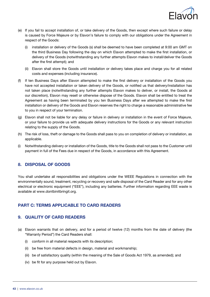

- (e) If you fail to accept installation of, or take delivery of the Goods, then except where such failure or delay is caused by Force Majeure or by Elavon's failure to comply with our obligations under the Agreement in respect of the Goods:
	- (i) installation or delivery of the Goods (s) shall be deemed to have been completed at 9:00 am GMT on the third Business Day following the day on which Elavon attempted to make the first installation, or delivery of the Goods (notwithstanding any further attempts Elavon makes to install/deliver the Goods after the first attempt); and
	- (ii) Elavon shall store the Goods until installation or delivery takes place and charge you for all related costs and expenses (including insurance).
- (f) If ten Business Days after Elavon attempted to make the first delivery or installation of the Goods you have not accepted installation or taken delivery of the Goods, or notified us that delivery/installation has not taken place (notwithstanding any further attempts Elavon makes to deliver, or install, the Goods at our discretion), Elavon may resell or otherwise dispose of the Goods. Elavon shall be entitled to treat the Agreement as having been terminated by you ten Business Days after we attempted to make the first installation or delivery of the Goods and Elavon reserves the right to charge a reasonable administrative fee to you in respect of your termination.
- (g) Elavon shall not be liable for any delay or failure in delivery or installation in the event of Force Majeure, or your failure to provide us with adequate delivery instructions for the Goods or any relevant instruction relating to the supply of the Goods.
- (h) The risk of loss, theft or damage to the Goods shall pass to you on completion of delivery or installation, as applicable.
- (i) Notwithstanding delivery or installation of the Goods, title to the Goods shall not pass to the Customer until payment in full of the Fees due in respect of the Goods, in accordance with this Agreement.

#### 8. DISPOSAL OF GOODS

You shall undertake all responsibilities and obligations under the WEEE Regulations in connection with the environmentally sound, treatment, recycling or recovery and safe disposal of the Card Reader and for any other electrical or electronic equipment ("EEE"), including any batteries. Further information regarding EEE waste is available at www.dontbinitbringit.org.

#### PART C: TERMS APPLICABLE TO CARD READERS

#### 9. QUALITY OF CARD READERS

- (a) Elavon warrants that on delivery, and for a period of twelve (12) months from the date of delivery (the "Warranty Period") the Card Readers shall:
	- (i) conform in all material respects with its description;
	- (ii) be free from material defects in design, material and workmanship;
	- (iii) be of satisfactory quality (within the meaning of the Sale of Goods Act 1979, as amended); and
	- (iv) be fit for any purpose held out by Elavon.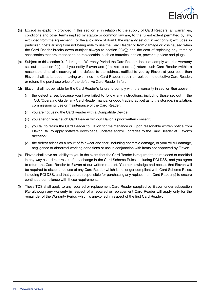

- (b) Except as explicitly provided in this section 9, in relation to the supply of Card Readers, all warranties, conditions and other terms implied by statute or common law are, to the fullest extent permitted by law, excluded from the Agreement. For the avoidance of doubt, the warranty set out in section 9(a) excludes, in particular, costs arising from not being able to use the Card Reader or from damage or loss caused when the Card Reader breaks down (subject always to section 22(d)); and the cost of replacing any items or accessories that are intended to be replaceable, such as batteries, cables, power suppliers and plugs.
- (c) Subject to this section 9, if during the Warranty Period the Card Reader does not comply with the warranty set out in section 9(a) and you notify Elavon and (if asked to do so) return such Card Reader (within a reasonable time of discovery of the defect) to the address notified to you by Elavon at your cost, then Elavon shall, at its option, having examined the Card Reader, repair or replace the defective Card Reader, or refund the purchase price of the defective Card Reader in full.
- (d) Elavon shall not be liable for the Card Reader's failure to comply with the warranty in section 9(a) above if:
	- (i) the defect arises because you have failed to follow any instructions, including those set out in the TOS, (Operating Guide, any Card Reader manual or good trade practice) as to the storage, installation, commissioning, use or maintenance of the Card Reader;
	- (ii) you are not using the Card Reader with a Compatible Device;
	- (iii) you alter or repair such Card Reader without Elavon's prior written consent;
	- (iv) you fail to return the Card Reader to Elavon for maintenance or, upon reasonable written notice from Elavon, fail to apply software downloads, updates and/or upgrades to the Card Reader at Elavon's direction;
	- (v) the defect arises as a result of fair wear and tear, including cosmetic damage, or your willful damage, negligence or abnormal working conditions or use in conjunction with items not approved by Elavon.
- (e) Elavon shall have no liability to you in the event that the Card Reader is required to be replaced or modified in any way as a direct result of any change in the Card Scheme Rules, including PCI DSS, and you agree to return the Card Reader to Elavon at our written request. You acknowledge and accept that Elavon will be required to discontinue use of any Card Reader which is no longer compliant with Card Scheme Rules, including PCI DSS, and that you are responsible for purchasing any replacement Card Reader(s) to ensure continued compliance with these requirements.
- (f) These TOS shall apply to any repaired or replacement Card Reader supplied by Elavon under subsection 9(a) although any warranty in respect of a repaired or replacement Card Reader will apply only for the remainder of the Warranty Period which is unexpired in respect of the first Card Reader.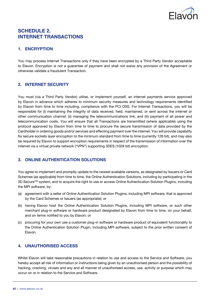

# SCHEDULE 2. INTERNET TRANSACTIONS

## 1. ENCRYPTION

You may process Internet Transactions only if they have been encrypted by a Third Party Vendor acceptable to Elavon. Encryption is not a guarantee of payment and shall not waive any provision of the Agreement or otherwise validate a fraudulent Transaction.

## 2. INTERNET SECURITY

You must (via a Third Party Vendor) utilise, or implement yourself, an internet payments service approved by Elavon in advance which adheres to minimum security measures and technology requirements identified by Elavon from time to time including, compliance with the PCI DSS. For Internet Transactions, you will be responsible for (i) maintaining the integrity of data received, held, maintained, or sent across the internet or other communication channel; (ii) managing the telecommunications link; and (iii) payment of all power and telecommunication costs. You will ensure that all Transactions are transmitted (where applicable) using the protocol approved by Elavon from time to time to procure the secure transmission of data provided by the Cardholder in ordering goods and/or services and effecting payment over the internet. You will provide capability for secure sockets layer encryption to the minimum standard from time to time (currently 128 bit), and may also be required by Elavon to support encryption requirements in respect of the transmission of information over the internet via a virtual private network ("VPN") supporting 3DES (1028 bit) encryption.

## 3. ONLINE AUTHENTICATION SOLUTIONS

You agree to implement and promptly update to the newest available versions, as designated by Issuers or Card Schemes (as applicable) from time to time, the Online Authentication Solutions, including by participating in the 3D Secure™ system, and to acquire the right to use or access Online Authentication Solution Plugins, including the MPI software, by:

- (a) agreement with a seller of Online Authentication Solution Plugins, including MPI software, that is approved by the Card Schemes or Issuers (as appropriate); or
- (b) having Elavon host the Online Authentication Solution Plugins, including MPI software, or such other merchant plug-in software or hardware product designated by Elavon from time to time, on your behalf, and on terms notified to you by Elavon; or
- (c) procuring for your own use a customer plug-in software or hardware product of equivalent functionality to the Online Authentication Solution Plugin, including MPI software, subject to the prior written consent of Elavon.

## 4. UNAUTHORISED ACCESS

Whilst Elavon will take reasonable precautions in relation to use and access to the Service and Software, you hereby accept all risk of information or instructions being given by an unauthorised person and the possibility of hacking, cracking, viruses and any and all manner of unauthorised access, use, activity or purpose which may occur on or in relation to the Service and Software.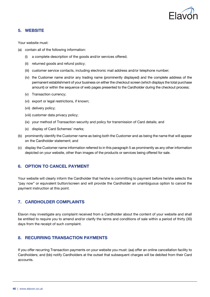

#### 5. WEBSITE

Your website must:

- (a) contain all of the following information:
	- (i) a complete description of the goods and/or services offered;
	- (ii) returned goods and refund policy;
	- (iii) customer service contacts, including electronic mail address and/or telephone number;
	- (iv) the Customer name and/or any trading name (prominently displayed) and the complete address of the permanent establishment of your business on either the checkout screen (which displays the total purchase amount) or within the sequence of web pages presented to the Cardholder during the checkout process;
	- (v) Transaction currency;
	- (vi) export or legal restrictions, if known;
	- (vii) delivery policy;
	- (viii) customer data privacy policy;
	- (ix) your method of Transaction security and policy for transmission of Card details; and
	- (x) display of Card Schemes' marks;
- (b) prominently identify the Customer name as being both the Customer and as being the name that will appear on the Cardholder statement; and
- (c) display the Customer name information referred to in this paragraph 5 as prominently as any other information depicted on your website, other than images of the products or services being offered for sale.

#### 6. OPTION TO CANCEL PAYMENT

Your website will clearly inform the Cardholder that he/she is committing to payment before he/she selects the "pay now" or equivalent button/screen and will provide the Cardholder an unambiguous option to cancel the payment instruction at this point.

#### 7. CARDHOLDER COMPLAINTS

Elavon may investigate any complaint received from a Cardholder about the content of your website and shall be entitled to require you to amend and/or clarify the terms and conditions of sale within a period of thirty (30) days from the receipt of such complaint.

## 8. RECURRING TRANSACTION PAYMENTS

If you offer recurring Transaction payments on your website you must: (aa) offer an online cancellation facility to Cardholders; and (bb) notify Cardholders at the outset that subsequent charges will be debited from their Card accounts.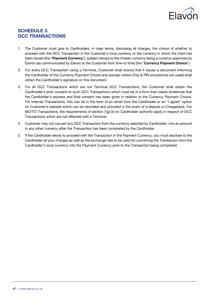

# SCHEDULE 3. DCC TRANSACTIONS

- 1. The Customer must give to Cardholders, in clear terms, disclosing all charges, the choice of whether to proceed with the DCC Transaction in the Customer's local currency or the currency in which the Card has been issued (the "Payment Currency"), subject always to the chosen currency being a currency approved by Elavon (as communicated by Elavon to the Customer from time to time) (the "Currency Payment Choice").
- 2. For every DCC Transaction using a Terminal, Customer shall ensure that it issues a document informing the Cardholder of the Currency Payment Choice and (except where Chip & PIN procedures are used) shall obtain the Cardholder's signature on this document.
- 3. For all DCC Transactions which are not Terminal DCC Transactions, the Customer shall obtain the Cardholder's prior consent to such DCC Transactions which must be in a form that clearly evidences that the Cardholder's express and final consent has been given in relation to the Currency Payment Choice. For Internet Transactions, this can be in the form of an email from the Cardholder or an "I agree" option on Customer's website which can be recorded and provided in the event of a dispute or Chargeback. For MO/TO Transactions, the requirements of section 7(g) (ii) on Cardholder authority apply in respect of DCC Transactions which are not effected with a Terminal.
- 4. Customer may not convert any DCC Transaction from the currency selected by Cardholder, into an amount in any other currency after the Transaction has been completed by the Cardholder.
- 5. If the Cardholder elects to proceed with the Transaction in the Payment Currency, you must disclose to the Cardholder all your charges as well as the exchange rate to be used for converting the Transaction from the Cardholder's local currency into the Payment Currency prior to the Transaction being completed.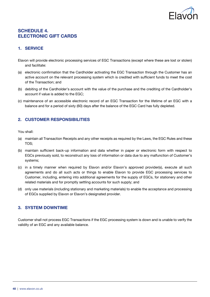

# SCHEDULE 4. ELECTRONIC GIFT CARDS

## 1. SERVICE

- Elavon will provide electronic processing services of EGC Transactions (except where these are lost or stolen) and facilitate:
- (a) electronic confirmation that the Cardholder activating the EGC Transaction through the Customer has an active account on the relevant processing system which is credited with sufficient funds to meet the cost of the Transaction; and
- (b) debiting of the Cardholder's account with the value of the purchase and the crediting of the Cardholder's account if value is added to the EGC;
- (c) maintenance of an accessible electronic record of an EGC Transaction for the lifetime of an EGC with a balance and for a period of sixty (60) days after the balance of the EGC Card has fully depleted.

## 2. CUSTOMER RESPONSIBILITIES

You shall:

- (a) maintain all Transaction Receipts and any other receipts as required by the Laws, the EGC Rules and these TOS;
- (b) maintain sufficient back-up information and data whether in paper or electronic form with respect to EGCs previously sold, to reconstruct any loss of information or data due to any malfunction of Customer's systems;
- (c) in a timely manner when required by Elavon and/or Elavon's approved provider(s), execute all such agreements and do all such acts or things to enable Elavon to provide EGC processing services to Customer, including, entering into additional agreements for the supply of EGCs, for stationery and other related materials and for promptly settling accounts for such supply; and
- (d) only use materials (including stationary and marketing materials) to enable the acceptance and processing of EGCs supplied by Elavon or Elavon's designated provider.

## 3. SYSTEM DOWNTIME

Customer shall not process EGC Transactions if the EGC processing system is down and is unable to verify the validity of an EGC and any available balance.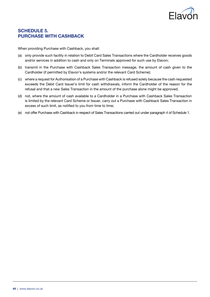

# SCHEDULE 5. PURCHASE WITH CASHBACK

When providing Purchase with Cashback, you shall:

- (a) only provide such facility in relation to Debit Card Sales Transactions where the Cardholder receives goods and/or services in addition to cash and only on Terminals approved for such use by Elavon;
- (b) transmit in the Purchase with Cashback Sales Transaction message, the amount of cash given to the Cardholder (if permitted by Elavon's systems and/or the relevant Card Scheme);
- (c) where a request for Authorisation of a Purchase with Cashback is refused solely because the cash requested exceeds the Debit Card Issuer's limit for cash withdrawals, inform the Cardholder of the reason for the refusal and that a new Sales Transaction in the amount of the purchase alone might be approved;
- (d) not, where the amount of cash available to a Cardholder in a Purchase with Cashback Sales Transaction is limited by the relevant Card Scheme or Issuer, carry out a Purchase with Cashback Sales Transaction in excess of such limit, as notified to you from time to time;
- (e) not offer Purchase with Cashback in respect of Sales Transactions carried out under paragraph 4 of Schedule 1.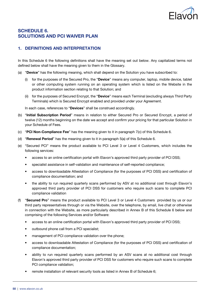

## SCHEDULE 6. SOLUTIONS AND PCI WAIVER PLAN

## 1. DEFINITIONS AND INTERPRETATION

In this Schedule 6 the following definitions shall have the meaning set out below. Any capitalized terms not defined below shall have the meaning given to them in the Glossary.

- (a) "Device" has the following meaning, which shall depend on the Solution you have subscribed to:
	- (i) for the purposes of the Secured Pro, the "Device" means any computer, laptop, mobile device, tablet or other computing system running on an operating system which is listed on the Website in the product information section relating to that Solution; and
	- (ii) for the purposes of Secured Encrypt, the "Device" means each Terminal (excluding always Third Party Terminals) which is Secured Encrypt enabled and provided under your Agreement.

In each case, references to "Devices" shall be construed accordingly.

- (b) "Initial Subscription Period" means in relation to either Secured Pro or Secured Encrypt, a period of twelve (12) months beginning on the date we accept and confirm your pricing for that particular Solution in your Schedule of Fees.
- (c) "PCI Non-Compliance Fee" has the meaning given to it in paragraph  $7(c)$  of this Schedule 6.
- (d) "Renewal Period" has the meaning given to it in paragraph  $5(a)$  of this Schedule 6.
- (e) "Secured PCI" means the product available to PCI Level 3 or Level 4 Customers, which includes the following services:
	- access to an online certification portal with Elavon's approved third party provider of PCI DSS;
	- specialist assistance in self-validation and maintenance of self-reported compliance;
	- access to downloadable Attestation of Compliance (for the purposes of PCI DSS) and certification of compliance documentation; and
	- the ability to run required quarterly scans performed by ASV at no additional cost through Elavon's approved third party provider of PCI DSS for customers who require such scans to complete PCI compliance validation
- (f) "Secured Pro" means the product available to PCI Level 3 or Level 4 Customers provided by us or our third party representatives through or via the Website, over the telephone, by email, live chat or otherwise in connection with the Website, as more particularly described in Annex B of this Schedule 6 below and comprising of the following Services and/or Software:
	- access to an online certification portal with Elavon's approved third party provider of PCI DSS;
	- outbound phone call from a PCI specialist;
	- management of PCI compliance validation over the phone;
	- access to downloadable Attestation of Compliance (for the purposes of PCI DSS) and certification of compliance documentation;
	- ability to run required quarterly scans performed by an ASV scans at no additional cost through Elavon's approved third party provider of PCI DSS for customers who require such scans to complete PCI compliance validation;
	- remote installation of relevant security tools as listed in Annex B of Schedule 6;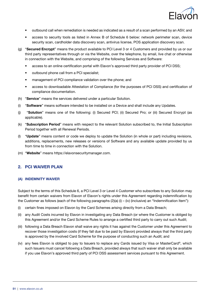

- outbound call when remediation is needed as indicated as a result of a scan performed by an ASV; and
- access to security tools as listed in Annex B of Schedule 6 below: network perimeter scan, device security scan, cardholder data discovery scan, antivirus license, POS application discovery scan.
- (g) "Secured Encrypt" means the product available to PCI Level 3 or 4 Customers and provided by us or our third party representatives through or via the Website, over the telephone, by email, live chat or otherwise in connection with the Website, and comprising of the following Services and Software:
	- access to an online certification portal with Elavon's approved third party provider of PCI DSS;
	- outbound phone call from a PCI specialist;
	- management of PCI compliance validation over the phone; and
	- access to downloadable Attestation of Compliance (for the purposes of PCI DSS) and certification of compliance documentation.
- (h) "Service" means the services delivered under a particular Solution.
- (i) "Software" means software intended to be installed on a Device and shall include any Updates.
- (j) "Solution" means one of the following: (i) Secured PCI; (ii) Secured Pro; or (iii) Secured Encrypt (as applicable).
- (k) "Subscription Period" means with respect to the relevant Solution subscribed to, the Initial Subscription Period together with all Renewal Periods.
- (I) "Update" means content or code we deploy to update the Solution (in whole or part) including revisions, additions, replacements, new releases or versions of Software and any available update provided by us from time to time in connection with the Solution.
- (m) "Website" means https://elavonsecuritymanager.com.

#### 2. PCI WAIVER PLAN

#### (A) Indemnity waiver

Subject to the terms of this Schedule 6, a PCI Level 3 or Level 4 Customer who subscribes to any Solution may benefit from certain waivers from Elavon of Elavon's rights under this Agreement regarding indemnification by the Customer as follows (each of the following paragraphs  $(2)(a)$  (i) – (iv) (inclusive) an "Indemnification Item"):

- (i) certain fines imposed on Elavon by the Card Schemes arising directly from a Data Breach;
- (ii) any Audit Costs incurred by Elavon in investigating any Data Breach (or where the Customer is obliged by this Agreement and/or the Card Scheme Rules to arrange a certified third party to carry out such Audit;
- (iii) following a Data Breach Elavon shall waive any rights it has against the Customer under this Agreement to recover those investigation costs (if they fall due to be paid by Elavon) provided always that the third party is approved by the involved Card Scheme for the purpose of conducting such an Audit; and
- (iv) any fees Elavon is obliged to pay to Issuers to replace any Cards issued by Visa or MasterCard®, which such Issuers must cancel following a Data Breach, provided always that such waiver shall only be available if you use Elayon's approved third party of PCI DSS assessment services pursuant to this Agreement.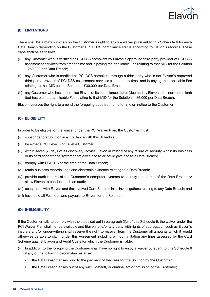

#### (B) LIMITATIONS

There shall be a maximum cap on the Customer's right to enjoy a waiver pursuant to this Schedule 6 for each Data Breach depending on the Customer's PCI DSS compliance status according to Elavon's records. These caps shall be as follows:

- any Customer who is certified as PCI DSS compliant by Elavon's approved third party provider of PCI DSS assessment services from time to time and is paying the applicable Fee relating to that MID for the Solution – £60,000 per Data Breach;
- (ii) any Customer who is certified as PCI DSS compliant through a third party who is not Elavon's approved third party provider of PCI DSS assessment services from time to time and is paying the applicable Fee relating to that MID for the Solution – £30,000 per Data Breach;
- (iii) any Customer who has not notified Elavon of its compliance status (deemed by Elavon to be non-compliant) (but has paid the applicable Fee relating to that MID for the Solution) – £6,000 per Data Breach.

Elavon reserves the right to amend the foregoing caps from time to time on notice to the Customer.

#### (C) ELIGIBILITY

In order to be eligible for the waiver under the PCI Waiver Plan, the Customer must:

- (i) subscribe to a Solution in accordance with this Schedule 6;
- (ii) be either a PCI Level 3 or Level 4 Customer;
- (iii) within seven (7) days of its discovery, advise Elavon in writing of any failure of security within its business or its card acceptance systems that gives rise to or could give rise to a Data Breach;
- (iv) comply with PCI DSS at the time of the Data Breach;
- (v) retain business records, logs and electronic evidence relating to a Data Breach;
- (iv) provide audit reports of the Customer's computer systems to identify the source of the Data Breach or allow Elavon to conduct such an audit;
- (vii) co-operate with Elavon and the involved Card Scheme in all investigations relating to any Data Breach; and
- (viii) have paid all Fees due and payable to Elavon for the Solution.

#### (D) INELIGIBILITY

If the Customer fails to comply with the steps set out in paragraph 2(c) of this Schedule 6, the waiver under the PCI Waiver Plan shall not be available and Elavon (and/or any party with rights of subrogation such as Elavon's insurers and/or underwriters) shall reserve the right to recover from the Customer all amounts which it would otherwise be able to claim under this Agreement including without limitation any fines assessed by the Card Scheme against Elavon and Audit Costs for which the Customer is liable.

- (i) In addition to the foregoing the Customer shall have no right to enjoy a waiver pursuant to this Schedule 6 if any of the following circumstances arise:
	- the Data Breach arises prior to the payment of the Fees for the Solution by the Customer;
	- the Data Breach arises out of any willful default, or criminal act or omission of the Customer;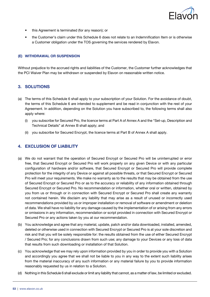

- this Agreement is terminated (for any reason); or
- the Customer's claim under this Schedule 6 does not relate to an Indemnification Item or is otherwise a Customer obligation under the TOS governing the services rendered by Elavon.

#### (E) WITHDRAWAL OR SUSPENSION

Without prejudice to the accrued rights and liabilities of the Customer, the Customer further acknowledges that the PCI Waiver Plan may be withdrawn or suspended by Elavon on reasonable written notice.

#### 3. SOLUTIONS

- (a) The terms of this Schedule 6 shall apply to your subscription of your Solution. For the avoidance of doubt, the terms of this Schedule 6 are intended to supplement and be read in conjunction with the rest of your Agreement. In addition, depending on the Solution you have subscribed to, the following terms shall also apply where:
	- (i) you subscribe for Secured Pro, the licence terms at Part A of Annex A and the "Set-up, Description and Technical Details" at Annex B shall apply; and
	- (ii) you subscribe for Secured Encrypt, the licence terms at Part B of Annex A shall apply.

#### 4. EXCLUSION OF LIABILITY

- (a) We do not warrant that the operation of Secured Encrypt or Secured Pro will be uninterrupted or error free, that Secured Encrypt or Secured Pro will work properly on any given Device or with any particular configuration of hardware and/or software, that Secured Encrypt or Secured Pro will provide complete protection for the integrity of any Device or against all possible threats, or that Secured Encrypt or Secured Pro will meet your requirements. We make no warranty as to the results that may be obtained from the use of Secured Encrypt or Secured Pro or as to the accuracy or reliability of any information obtained through Secured Encrypt or Secured Pro. No recommendation or information, whether oral or written, obtained by you from us or through or in connection with Secured Encrypt or Secured Pro shall create any warranty not contained herein. We disclaim any liability that may arise as a result of unused or incorrectly used recommendations provided by us or improper installation or removal of software or amendment or deletion of data. We shall have no liability for any damage caused by the implementation of or arising from any errors or omissions in any information, recommendation or script provided in connection with Secured Encrypt or Secured Pro or any actions taken by you at our recommendation.
- (b) You acknowledge and agree that any material, update, patch and/or data downloaded, installed, amended, deleted or otherwise used in connection with Secured Encrypt or Secured Pro is at your sole discretion and risk and that you will be solely responsible for: the results obtained from the use of either Secured Encrypt / Secured Pro; for any conclusions drawn from such use; any damage to your Devices or any loss of data that results from such downloading or installation of that Solution.
- (c) You acknowledge that we may rely upon information provided by you in order to provide you with a Solution and accordingly you agree that we shall not be liable to you in any way to the extent such liability arises from the material inaccuracy of any such information or any material failure by you to provide information reasonably requested by us in relation to a Solution.
- (d) Nothing in this Schedule 6 shall exclude or limit any liability that cannot, as a matter of law, be limited or excluded.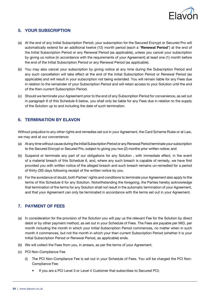

## 5. YOUR SUBSCRIPTION

- (a) At the end of any Initial Subscription Period, your subscription for the Secured Encrypt or Secured Pro will automatically extend for an additional twelve (12) month period (each a "Renewal Period") at the end of the Initial Subscription Period or any Renewal Period (as applicable), unless you cancel your subscription by giving us notice (in accordance with the requirements of your Agreement) at least one (1) month before the end of the Initial Subscription Period or any Renewal Period (as applicable).
- (b) You may also cancel your subscription by giving notice at any time during the Subscription Period and any such cancellation will take effect at the end of the Initial Subscription Period or Renewal Period (as applicable) and will result in your subscription not being extended. You will remain liable for any Fees due in relation to the remainder of your Subscription Period and will retain access to your Solution until the end of the then-current Subscription Period.
- (c) Should we terminate your Agreement prior to the end of any Subscription Period for convenience, as set out in paragraph 6 of this Schedule 6 below, you shall only be liable for any Fees due in relation to the supply of the Solution up to and including the date of such termination.

## 6. TERMINATION BY ELAVON

Without prejudice to any other rights and remedies set out in your Agreement, the Card Scheme Rules or at Law, we may and at our convenience:

- (a) At any time without cause during the Initial Subscription Period or any Renewal Period terminate your subscription to the Secured Encrypt or Secured Pro, subject to giving you two (2) months prior written notice; and
- (b) Suspend or terminate any part of our obligations for any Solution , with immediate effect, in the event of a material breach of this Schedule 6, and, where any such breach is capable of remedy, we have first provided you with written notice of the alleged breach and such breach remains un-remedied for a period of thirty (30) days following receipt of the written notice by you.
- (c) For the avoidance of doubt, both Parties' rights and conditions to terminate your Agreement also apply to the terms of this Schedule 6 for any Solution. Notwithstanding the foregoing, the Parties hereby acknowledge that termination of the terms for any Solution shall not result in the automatic termination of your Agreement, and that your Agreement can only be terminated in accordance with the terms set out in your Agreement.

## 7. PAYMENT OF FEES

- (a) In consideration for the provision of the Solution you will pay us the relevant Fee for the Solution by direct debit or by other payment method, as set out in your Schedule of Fees. The Fees are payable per MID, per month including the month in which your Initial Subscription Period commences, no matter when in such month it commences, but not the month in which your then current Subscription Period (whether it is your Initial Subscription Period or Renewal Period, as applicable) ends.
- (b) We will collect the Fees from you, in arrears, as per the terms of your Agreement.
- (c) PCI Non-Compliance Fee
	- (i) The PCI Non-Compliance Fee is set out in your Schedule of Fees. You will be charged the PCI Non-Compliance Fee:
		- If you are a PCI Level 3 or Level 4 Customer that subscribes to Secured PCI;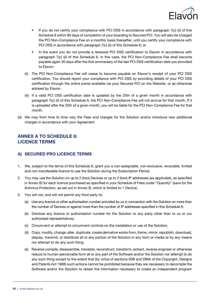

- If you do not certify your compliance with PCI DSS in accordance with paragraph 7(c) (ii) of this Schedule 6 within 90 days of completion of your boarding to Secured PCI. You will also be charged the PCI Non-Compliance Fee on a monthly basis thereafter, until you certify your compliance with PCI DSS in accordance with paragraph 7(c) (ii) of this Schedule 6; or
- In the event you do not provide a renewed PCI DSS certification to Elavon in accordance with paragraph 7(c) (ii) of this Schedule 6. In this case, the PCI Non-Compliance Fee shall become payable again 30 days after the first anniversary of the last PCI DSS certification date you provided to Elavon.
- (ii) The PCI Non-Compliance Fee will cease to become payable on Elavon's receipt of your PCI DSS certification. You should report your compliance with PCI DSS by providing details of your PCI DSS certification through the online portal available via your Secured PCI on the Website, or as otherwise advised by Elavon.
- (iii) If a valid PCI DSS certification date is updated by the 25th of a given month in accordance with paragraph 7(c) (ii) of this Schedule 6, the PCI Non-Compliance Fee will not accrue for that month. If it is uploaded after the 25th of a given month, you will be liable for the PCI Non-Compliance Fee for that month.
- (d) We may from time to time vary the Fees and charges for the Solution and/or introduce new additional charges in accordance with your Agreement.

## ANNEX A TO SCHEDULE 6: LICENCE TERMS

#### A) SECURED PRO LICENCE TERMS

- 1. We, subject to the terms of this Schedule 6, grant you a non-assignable, non-exclusive, revocable, limited and non-transferable licence to use the Solution during the Subscription Period.
- 2. You may use the Solution on up to 2 (two) Devices or up to 2 (two) IP addresses (as applicable, as specified in Annex B) for each licence purchased as specified in your Schedule of Fees under "Quantity" (save for the Antivirus Protection, as set out in Annex B, which is limited to 1 Device).
- 3. You will not, and will not permit any third party to:
	- (a) Use any licence or other authorisation number provided by us in connection with the Solution on more than the number of Devices or against more than the number of IP addresses specified in this Schedule 6;
	- (b) Disclose any licence or authorisation number for the Solution to any party other than to us or our authorised representatives;
	- (c) Circumvent or attempt to circumvent controls on the installation or use of the Solution;
	- (d) Copy, modify, change, alter, duplicate, create derivative works from, frame, mirror, republish, download, display, transmit, or distribute all or any portion of the Solution in any form or media or by any means nor attempt to do any such thing;
	- (e) Reverse compile, disassemble, translate, reconstruct, transform, extract, reverse engineer or otherwise reduce to human-perceivable form all or any part of the Software and/or the Solution nor attempt to do any such thing except to the extent that (by virtue of sections 50B and 296A of the Copyright, Designs and Patents Act 1988) such actions cannot be prohibited because they are necessary to decompile the Software and/or the Solution to obtain the information necessary to create an independent program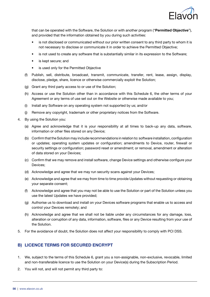

that can be operated with the Software, the Solution or with another program ("Permitted Objective"), and provided that the information obtained by you during such activities:

- is not disclosed or communicated without our prior written consent to any third party to whom it is not necessary to disclose or communicate it in order to achieve the Permitted Objective;
- is not used to create any software that is substantially similar in its expression to the Software;
- is kept secure; and
- is used only for the Permitted Objective
- (f) Publish, sell, distribute, broadcast, transmit, communicate, transfer, rent, lease, assign, display, disclose, pledge, share, licence or otherwise commercially exploit the Solution;
- (g) Grant any third party access to or use of the Solution;
- (h) Access or use the Solution other than in accordance with this Schedule 6, the other terms of your Agreement or any terms of use set out on the Website or otherwise made available to you;
- (i) Install any Software on any operating system not supported by us; and/or
- (j) Remove any copyright, trademark or other proprietary notices from the Software.
- 4. By using the Solution you:
	- (a) Agree and acknowledge that it is your responsibility at all times to back-up any data, software, information or other files stored on any Device;
	- (b) Confirm that the Solution may include recommendations in relation to: software installation, configuration or updates; operating system updates or configuration; amendments to Device, router, firewall or security settings or configuration; password reset or amendment; or removal, amendment or alteration of data stored on your Devices;
	- (c) Confirm that we may remove and install software, change Device settings and otherwise configure your Devices;
	- (d) Acknowledge and agree that we may run security scans against your Devices;
	- (e) Acknowledge and agree that we may from time to time provide Updates without requesting or obtaining your separate consent;
	- (f) Acknowledge and agree that you may not be able to use the Solution or part of the Solution unless you use the latest Updates we have provided;
	- (g) Authorise us to download and install on your Devices software programs that enable us to access and control your Devices remotely; and
	- (h) Acknowledge and agree that we shall not be liable under any circumstances for any damage, loss, alteration or corruption of any data, information, software, files or any Device resulting from your use of the Solution.
- 5. For the avoidance of doubt, the Solution does not affect your responsibility to comply with PCI DSS.

#### B) LICENCE TERMS FOR SECURED ENCRYPT

- 1. We, subject to the terms of this Schedule 6, grant you a non-assignable, non-exclusive, revocable, limited and non-transferable licence to use the Solution on your Device(s) during the Subscription Period.
- 2. You will not, and will not permit any third party to: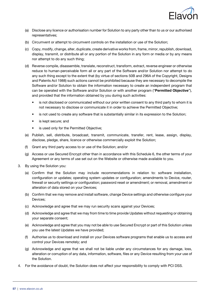

- (a) Disclose any licence or authorisation number for Solution to any party other than to us or our authorised representatives;
- (b) Circumvent or attempt to circumvent controls on the installation or use of the Solution;
- (c) Copy, modify, change, alter, duplicate, create derivative works from, frame, mirror, republish, download, display, transmit, or distribute all or any portion of the Solution in any form or media or by any means nor attempt to do any such thing;
- (d) Reverse compile, disassemble, translate, reconstruct, transform, extract, reverse engineer or otherwise reduce to human-perceivable form all or any part of the Software and/or Solution nor attempt to do any such thing except to the extent that (by virtue of sections 50B and 296A of the Copyright, Designs and Patents Act 1988) such actions cannot be prohibited because they are necessary to decompile the Software and/or Solution to obtain the information necessary to create an independent program that can be operated with the Software and/or Solution or with another program ("Permitted Objective"), and provided that the information obtained by you during such activities:
	- is not disclosed or communicated without our prior written consent to any third party to whom it is not necessary to disclose or communicate it in order to achieve the Permitted Objective;
	- is not used to create any software that is substantially similar in its expression to the Solution;
	- is kept secure; and
	- is used only for the Permitted Objective;
- (e) Publish, sell, distribute, broadcast, transmit, communicate, transfer, rent, lease, assign, display, disclose, pledge, share, licence or otherwise commercially exploit the Solution;
- (f) Grant any third party access to or use of the Solution; and/or
- (g) Access or use Secured Encrypt other than in accordance with this Schedule 6, the other terms of your Agreement or any terms of use set out on the Website or otherwise made available to you.
- 3. By using the Solution you:
	- (a) Confirm that the Solution may include recommendations in relation to: software installation, configuration or updates; operating system updates or configuration; amendments to Device, router, firewall or security settings or configuration; password reset or amendment; or removal, amendment or alteration of data stored on your Devices;
	- (b) Confirm that we may remove and install software, change Device settings and otherwise configure your Devices;
	- (c) Acknowledge and agree that we may run security scans against your Devices;
	- (d) Acknowledge and agree that we may from time to time provide Updates without requesting or obtaining your separate consent;
	- (e) Acknowledge and agree that you may not be able to use Secured Encrypt or part of this Solution unless you use the latest Updates we have provided;
	- (f) Authorise us to download and install on your Devices software programs that enable us to access and control your Devices remotely; and
	- (g) Acknowledge and agree that we shall not be liable under any circumstances for any damage, loss, alteration or corruption of any data, information, software, files or any Device resulting from your use of the Solution.
- 4. For the avoidance of doubt, the Solution does not affect your responsibility to comply with PCI DSS.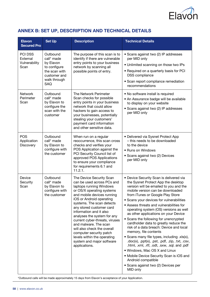

# ANNEX B: SET UP, DESCRIPTION AND TECHNICAL DETAILS

| <b>Elavon</b><br><b>Secured Pro</b>          | <b>Set Up</b>                                                                                               | <b>Description</b>                                                                                                                                                                                                                                                                                                                                                                                                                                                                            | <b>Technical Details</b>                                                                                                                                                                                                                                                                                                                                                                                                                                                                                                                                                                                                                                                                                                                                                                                                                                                        |
|----------------------------------------------|-------------------------------------------------------------------------------------------------------------|-----------------------------------------------------------------------------------------------------------------------------------------------------------------------------------------------------------------------------------------------------------------------------------------------------------------------------------------------------------------------------------------------------------------------------------------------------------------------------------------------|---------------------------------------------------------------------------------------------------------------------------------------------------------------------------------------------------------------------------------------------------------------------------------------------------------------------------------------------------------------------------------------------------------------------------------------------------------------------------------------------------------------------------------------------------------------------------------------------------------------------------------------------------------------------------------------------------------------------------------------------------------------------------------------------------------------------------------------------------------------------------------|
| PCI DSS<br>External<br>Vulnerability<br>Scan | Outbound<br>call* made<br>by Elavon<br>to configure<br>the scan with<br>customer and<br>walk through<br>SAQ | The purpose of this scan is to<br>identify if there are vulnerable<br>entry points to your business<br>network by scanning all<br>possible points of entry.                                                                                                                                                                                                                                                                                                                                   | • Scans against two (2) IP addresses<br>per MID only<br>• Unlimited scanning on those two IPs<br>• Required on a quarterly basis for PCI<br>DSS compliance<br>• Scan report compliance remediation<br>recommendations                                                                                                                                                                                                                                                                                                                                                                                                                                                                                                                                                                                                                                                           |
| Network<br>Perimeter<br>Scan                 | Outbound<br>call* made<br>by Elavon to<br>configure the<br>scan with the<br>customer                        | The Network Perimeter<br>Scan checks for possible<br>entry points in your business<br>network that could allow<br>hackers to gain access to<br>your businesses, potentially<br>stealing your customers'<br>payment card information<br>and other sensitive data.                                                                                                                                                                                                                              | • No software install is required<br>• An Assurance badge will be available<br>to display on your website<br>• Scans against two (2) IP addresses<br>per MID only                                                                                                                                                                                                                                                                                                                                                                                                                                                                                                                                                                                                                                                                                                               |
| <b>POS</b><br>Application<br>Discovery       | Outbound<br>call* made<br>by Elavon to<br>configure with<br>the customer                                    | When run on a regular<br>reoccurrence, this scan cross<br>checks and verifies your<br>POS Application against the<br>PCI Security Council list of<br>approved POS Applications<br>to ensure your compliance<br>for requirements 6.1 and<br>11.2.1.                                                                                                                                                                                                                                            | • Delivered via Sysnet Protect App<br>- this needs to be downloaded<br>to the device<br>• Runs on Windows<br>• Scans against two (2) Devices<br>per MID only                                                                                                                                                                                                                                                                                                                                                                                                                                                                                                                                                                                                                                                                                                                    |
| Device<br>Security<br>Scan                   | Outbound<br>call* made<br>by Elavon to<br>configure with<br>the customer                                    | The Device Security Scan<br>can be used across PCs and<br>laptops running Windows<br>or OS/X operating systems<br>and mobile devices running<br>iOS or Android operating<br>systems. The scan detects<br>any stored customer card<br>information and it also<br>analyses the system for any<br>current cyber-threats, viruses<br>and malware. The scan<br>will also check the overall<br>computer security patch<br>levels within the operating<br>system and major software<br>applications. | • Device Security Scan is delivered via<br>the Sysnet Protect App the desktop<br>version will be emailed to you and the<br>mobile version can be downloaded<br>from iTunes or Google Play Store<br>• Scans your devices for vulnerabilities<br>• Assess threats and vulnerabilities for<br>operating system (OS) versions as well<br>as other applications on your Device<br>• Scans the following for unencrypted<br>cardholder data to greatly reduce the<br>risk of a data breach: Device and local<br>memory, file contents<br>• Scans many file types, including .xls(x),<br>$.doc(x)$ , $.$ $ppt(x)$ , $.$ $pst$ , $.$ $pdf$ , $.$ $zip$ , $.$ $txt$ , $.$ $csv$ ,<br>.html, .xml, .rtf, .odt, .sxw, .sql. and .pdf<br>. Windows, Mac OS X and Linux<br>• Mobile Device Security Scan is iOS and<br>Android compatible<br>• Scans against two (2) Devices per<br>MID only |

\*Outbound calls will be made approximately 15 days from Elavon's acceptance of your Application.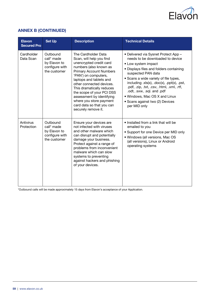

# **ANNEX B (CONTINUED)**

| <b>Elavon</b><br><b>Secured Pro</b> | <b>Set Up</b>                                                            | <b>Description</b>                                                                                                                                                                                                                                                                                                                                                                          | <b>Technical Details</b>                                                                                                                                                                                                                                                                                                                                                                                                        |
|-------------------------------------|--------------------------------------------------------------------------|---------------------------------------------------------------------------------------------------------------------------------------------------------------------------------------------------------------------------------------------------------------------------------------------------------------------------------------------------------------------------------------------|---------------------------------------------------------------------------------------------------------------------------------------------------------------------------------------------------------------------------------------------------------------------------------------------------------------------------------------------------------------------------------------------------------------------------------|
| Cardholder<br>Data Scan             | Outbound<br>call* made<br>by Elavon to<br>configure with<br>the customer | The Cardholder Data<br>Scan, will help you find<br>unencrypted credit card<br>numbers (also known as<br><b>Primary Account Numbers</b><br>'PAN') on computers,<br>laptops and tablets and<br>other connected devices.<br>This dramatically reduces<br>the scope of your PCI DSS<br>assessment by identifying<br>where you store payment<br>card data so that you can<br>securely remove it. | • Delivered via Sysnet Protect App -<br>needs to be downloaded to device<br>• Low system impact<br>• Displays files and folders containing<br>suspected PAN data<br>• Scans a wide variety of file types,<br>including $xls(x)$ , $doc(x)$ , $ppt(x)$ , $pst$ ,<br>.pdf, .zip, .txt, .csv, .html, .xml, .rtf,<br>.odt, .sxw, .sql. and .pdf<br>. Windows, Mac OS X and Linux<br>• Scans against two (2) Devices<br>per MID only |
| Antivirus<br>Protection             | Outbound<br>call* made<br>by Elavon to<br>configure with<br>the customer | Ensure your devices are<br>not infected with viruses<br>and other malware which<br>can disrupt and potentially<br>damage your business.<br>Protect against a range of<br>problems from inconvenient<br>malware which can slow<br>systems to preventing<br>against hackers and phishing<br>of your devices.                                                                                  | • Installed from a link that will be<br>emailed to you<br>• Support for one Device per MID only<br>• Windows (all versions, Mac OS<br>(all versions), Linux or Android<br>operating systems                                                                                                                                                                                                                                     |

\*Outbound calls will be made approximately 15 days from Elavon's acceptance of your Application.